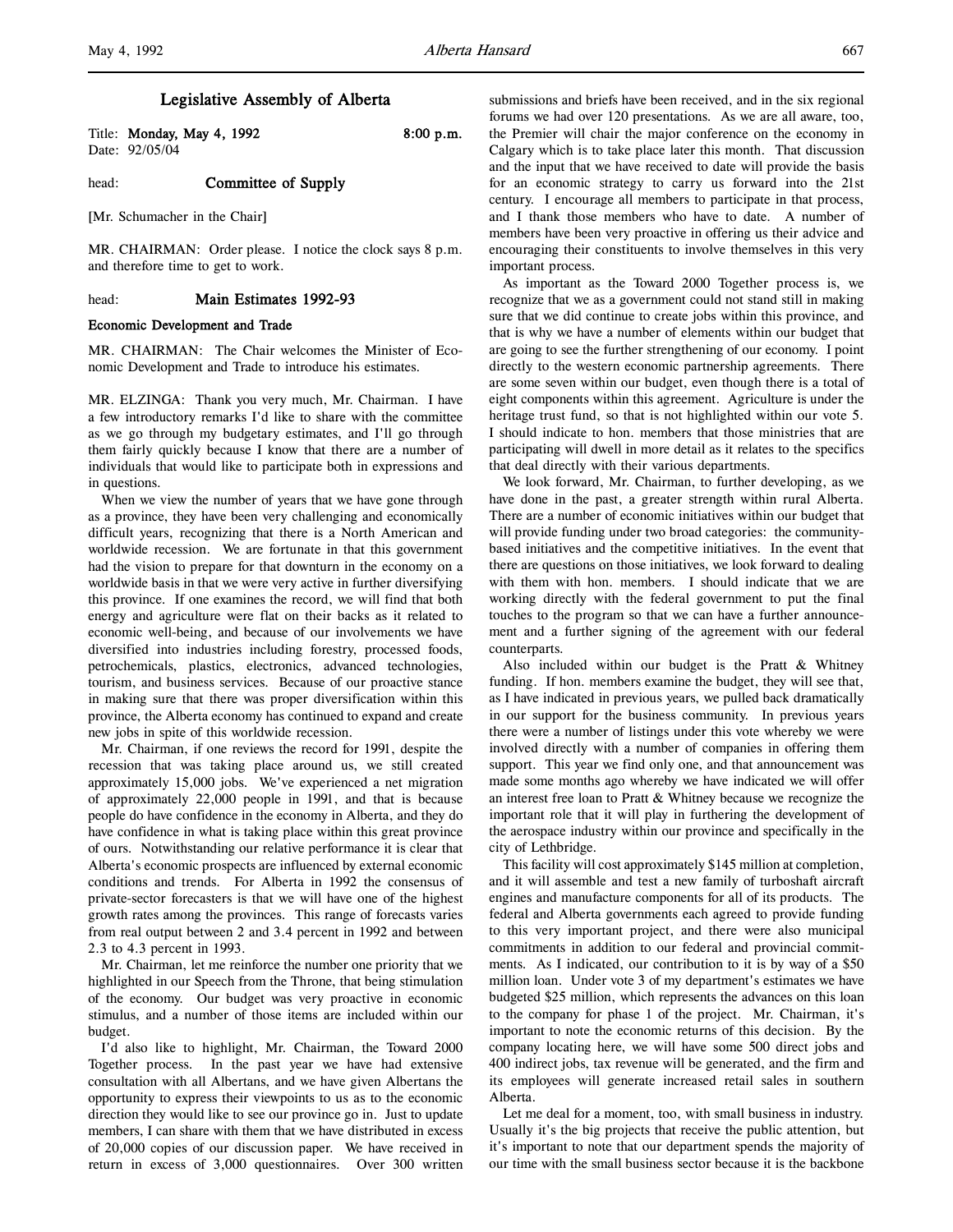## Legislative Assembly of Alberta

Title: Monday, May 4, 1992 8:00 p.m. Date: 92/05/04

## head: **Committee of Supply**

[Mr. Schumacher in the Chair]

MR. CHAIRMAN: Order please. I notice the clock says 8 p.m. and therefore time to get to work.

#### head: Main Estimates 1992-93

#### Economic Development and Trade

MR. CHAIRMAN: The Chair welcomes the Minister of Economic Development and Trade to introduce his estimates.

MR. ELZINGA: Thank you very much, Mr. Chairman. I have a few introductory remarks I'd like to share with the committee as we go through my budgetary estimates, and I'll go through them fairly quickly because I know that there are a number of individuals that would like to participate both in expressions and in questions.

When we view the number of years that we have gone through as a province, they have been very challenging and economically difficult years, recognizing that there is a North American and worldwide recession. We are fortunate in that this government had the vision to prepare for that downturn in the economy on a worldwide basis in that we were very active in further diversifying this province. If one examines the record, we will find that both energy and agriculture were flat on their backs as it related to economic well-being, and because of our involvements we have diversified into industries including forestry, processed foods, petrochemicals, plastics, electronics, advanced technologies, tourism, and business services. Because of our proactive stance in making sure that there was proper diversification within this province, the Alberta economy has continued to expand and create new jobs in spite of this worldwide recession.

Mr. Chairman, if one reviews the record for 1991, despite the recession that was taking place around us, we still created approximately 15,000 jobs. We've experienced a net migration of approximately 22,000 people in 1991, and that is because people do have confidence in the economy in Alberta, and they do have confidence in what is taking place within this great province of ours. Notwithstanding our relative performance it is clear that Alberta's economic prospects are influenced by external economic conditions and trends. For Alberta in 1992 the consensus of private-sector forecasters is that we will have one of the highest growth rates among the provinces. This range of forecasts varies from real output between 2 and 3.4 percent in 1992 and between 2.3 to 4.3 percent in 1993.

Mr. Chairman, let me reinforce the number one priority that we highlighted in our Speech from the Throne, that being stimulation of the economy. Our budget was very proactive in economic stimulus, and a number of those items are included within our budget.

I'd also like to highlight, Mr. Chairman, the Toward 2000 Together process. In the past year we have had extensive consultation with all Albertans, and we have given Albertans the opportunity to express their viewpoints to us as to the economic direction they would like to see our province go in. Just to update members, I can share with them that we have distributed in excess of 20,000 copies of our discussion paper. We have received in return in excess of 3,000 questionnaires. Over 300 written

submissions and briefs have been received, and in the six regional forums we had over 120 presentations. As we are all aware, too, the Premier will chair the major conference on the economy in Calgary which is to take place later this month. That discussion and the input that we have received to date will provide the basis for an economic strategy to carry us forward into the 21st century. I encourage all members to participate in that process, and I thank those members who have to date. A number of members have been very proactive in offering us their advice and encouraging their constituents to involve themselves in this very important process.

As important as the Toward 2000 Together process is, we recognize that we as a government could not stand still in making sure that we did continue to create jobs within this province, and that is why we have a number of elements within our budget that are going to see the further strengthening of our economy. I point directly to the western economic partnership agreements. There are some seven within our budget, even though there is a total of eight components within this agreement. Agriculture is under the heritage trust fund, so that is not highlighted within our vote 5. I should indicate to hon. members that those ministries that are participating will dwell in more detail as it relates to the specifics that deal directly with their various departments.

We look forward, Mr. Chairman, to further developing, as we have done in the past, a greater strength within rural Alberta. There are a number of economic initiatives within our budget that will provide funding under two broad categories: the communitybased initiatives and the competitive initiatives. In the event that there are questions on those initiatives, we look forward to dealing with them with hon. members. I should indicate that we are working directly with the federal government to put the final touches to the program so that we can have a further announcement and a further signing of the agreement with our federal counterparts.

Also included within our budget is the Pratt & Whitney funding. If hon. members examine the budget, they will see that, as I have indicated in previous years, we pulled back dramatically in our support for the business community. In previous years there were a number of listings under this vote whereby we were involved directly with a number of companies in offering them support. This year we find only one, and that announcement was made some months ago whereby we have indicated we will offer an interest free loan to Pratt & Whitney because we recognize the important role that it will play in furthering the development of the aerospace industry within our province and specifically in the city of Lethbridge.

This facility will cost approximately \$145 million at completion, and it will assemble and test a new family of turboshaft aircraft engines and manufacture components for all of its products. The federal and Alberta governments each agreed to provide funding to this very important project, and there were also municipal commitments in addition to our federal and provincial commitments. As I indicated, our contribution to it is by way of a \$50 million loan. Under vote 3 of my department's estimates we have budgeted \$25 million, which represents the advances on this loan to the company for phase 1 of the project. Mr. Chairman, it's important to note the economic returns of this decision. By the company locating here, we will have some 500 direct jobs and 400 indirect jobs, tax revenue will be generated, and the firm and its employees will generate increased retail sales in southern Alberta.

Let me deal for a moment, too, with small business in industry. Usually it's the big projects that receive the public attention, but it's important to note that our department spends the majority of our time with the small business sector because it is the backbone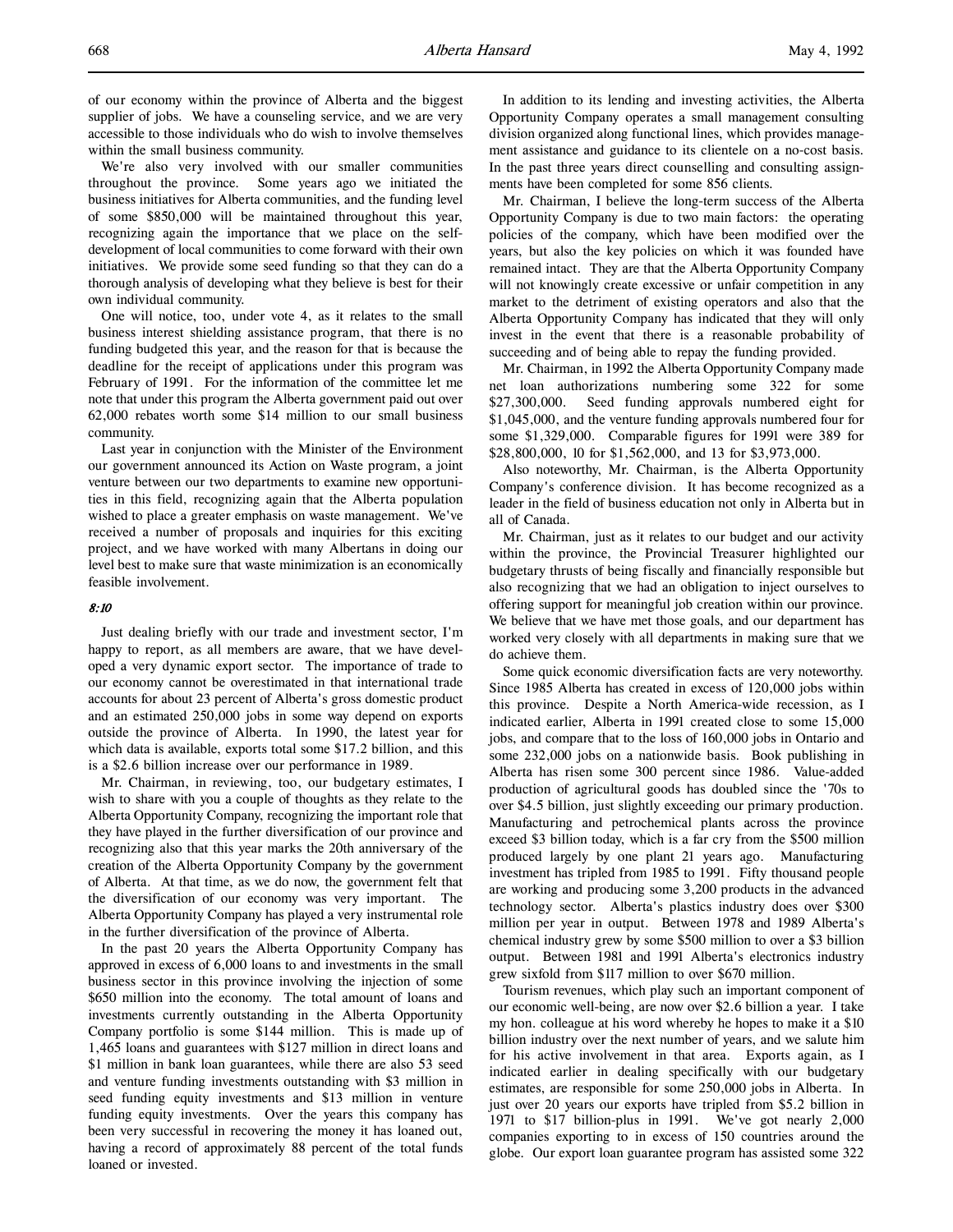of our economy within the province of Alberta and the biggest supplier of jobs. We have a counseling service, and we are very accessible to those individuals who do wish to involve themselves within the small business community.

We're also very involved with our smaller communities throughout the province. Some years ago we initiated the business initiatives for Alberta communities, and the funding level of some \$850,000 will be maintained throughout this year, recognizing again the importance that we place on the selfdevelopment of local communities to come forward with their own initiatives. We provide some seed funding so that they can do a thorough analysis of developing what they believe is best for their own individual community.

One will notice, too, under vote 4, as it relates to the small business interest shielding assistance program, that there is no funding budgeted this year, and the reason for that is because the deadline for the receipt of applications under this program was February of 1991. For the information of the committee let me note that under this program the Alberta government paid out over 62,000 rebates worth some \$14 million to our small business community.

Last year in conjunction with the Minister of the Environment our government announced its Action on Waste program, a joint venture between our two departments to examine new opportunities in this field, recognizing again that the Alberta population wished to place a greater emphasis on waste management. We've received a number of proposals and inquiries for this exciting project, and we have worked with many Albertans in doing our level best to make sure that waste minimization is an economically feasible involvement.

### 8:10

Just dealing briefly with our trade and investment sector, I'm happy to report, as all members are aware, that we have developed a very dynamic export sector. The importance of trade to our economy cannot be overestimated in that international trade accounts for about 23 percent of Alberta's gross domestic product and an estimated 250,000 jobs in some way depend on exports outside the province of Alberta. In 1990, the latest year for which data is available, exports total some \$17.2 billion, and this is a \$2.6 billion increase over our performance in 1989.

Mr. Chairman, in reviewing, too, our budgetary estimates, I wish to share with you a couple of thoughts as they relate to the Alberta Opportunity Company, recognizing the important role that they have played in the further diversification of our province and recognizing also that this year marks the 20th anniversary of the creation of the Alberta Opportunity Company by the government of Alberta. At that time, as we do now, the government felt that the diversification of our economy was very important. The Alberta Opportunity Company has played a very instrumental role in the further diversification of the province of Alberta.

In the past 20 years the Alberta Opportunity Company has approved in excess of 6,000 loans to and investments in the small business sector in this province involving the injection of some \$650 million into the economy. The total amount of loans and investments currently outstanding in the Alberta Opportunity Company portfolio is some \$144 million. This is made up of 1,465 loans and guarantees with \$127 million in direct loans and \$1 million in bank loan guarantees, while there are also 53 seed and venture funding investments outstanding with \$3 million in seed funding equity investments and \$13 million in venture funding equity investments. Over the years this company has been very successful in recovering the money it has loaned out, having a record of approximately 88 percent of the total funds loaned or invested.

In addition to its lending and investing activities, the Alberta Opportunity Company operates a small management consulting division organized along functional lines, which provides management assistance and guidance to its clientele on a no-cost basis. In the past three years direct counselling and consulting assignments have been completed for some 856 clients.

Mr. Chairman, I believe the long-term success of the Alberta Opportunity Company is due to two main factors: the operating policies of the company, which have been modified over the years, but also the key policies on which it was founded have remained intact. They are that the Alberta Opportunity Company will not knowingly create excessive or unfair competition in any market to the detriment of existing operators and also that the Alberta Opportunity Company has indicated that they will only invest in the event that there is a reasonable probability of succeeding and of being able to repay the funding provided.

Mr. Chairman, in 1992 the Alberta Opportunity Company made net loan authorizations numbering some 322 for some \$27,300,000. Seed funding approvals numbered eight for \$1,045,000, and the venture funding approvals numbered four for some \$1,329,000. Comparable figures for 1991 were 389 for \$28,800,000, 10 for \$1,562,000, and 13 for \$3,973,000.

Also noteworthy, Mr. Chairman, is the Alberta Opportunity Company's conference division. It has become recognized as a leader in the field of business education not only in Alberta but in all of Canada.

Mr. Chairman, just as it relates to our budget and our activity within the province, the Provincial Treasurer highlighted our budgetary thrusts of being fiscally and financially responsible but also recognizing that we had an obligation to inject ourselves to offering support for meaningful job creation within our province. We believe that we have met those goals, and our department has worked very closely with all departments in making sure that we do achieve them.

Some quick economic diversification facts are very noteworthy. Since 1985 Alberta has created in excess of 120,000 jobs within this province. Despite a North America-wide recession, as I indicated earlier, Alberta in 1991 created close to some 15,000 jobs, and compare that to the loss of 160,000 jobs in Ontario and some 232,000 jobs on a nationwide basis. Book publishing in Alberta has risen some 300 percent since 1986. Value-added production of agricultural goods has doubled since the '70s to over \$4.5 billion, just slightly exceeding our primary production. Manufacturing and petrochemical plants across the province exceed \$3 billion today, which is a far cry from the \$500 million produced largely by one plant 21 years ago. Manufacturing investment has tripled from 1985 to 1991. Fifty thousand people are working and producing some 3,200 products in the advanced technology sector. Alberta's plastics industry does over \$300 million per year in output. Between 1978 and 1989 Alberta's chemical industry grew by some \$500 million to over a \$3 billion output. Between 1981 and 1991 Alberta's electronics industry grew sixfold from \$117 million to over \$670 million.

Tourism revenues, which play such an important component of our economic well-being, are now over \$2.6 billion a year. I take my hon. colleague at his word whereby he hopes to make it a \$10 billion industry over the next number of years, and we salute him for his active involvement in that area. Exports again, as I indicated earlier in dealing specifically with our budgetary estimates, are responsible for some 250,000 jobs in Alberta. In just over 20 years our exports have tripled from \$5.2 billion in 1971 to \$17 billion-plus in 1991. We've got nearly 2,000 companies exporting to in excess of 150 countries around the globe. Our export loan guarantee program has assisted some 322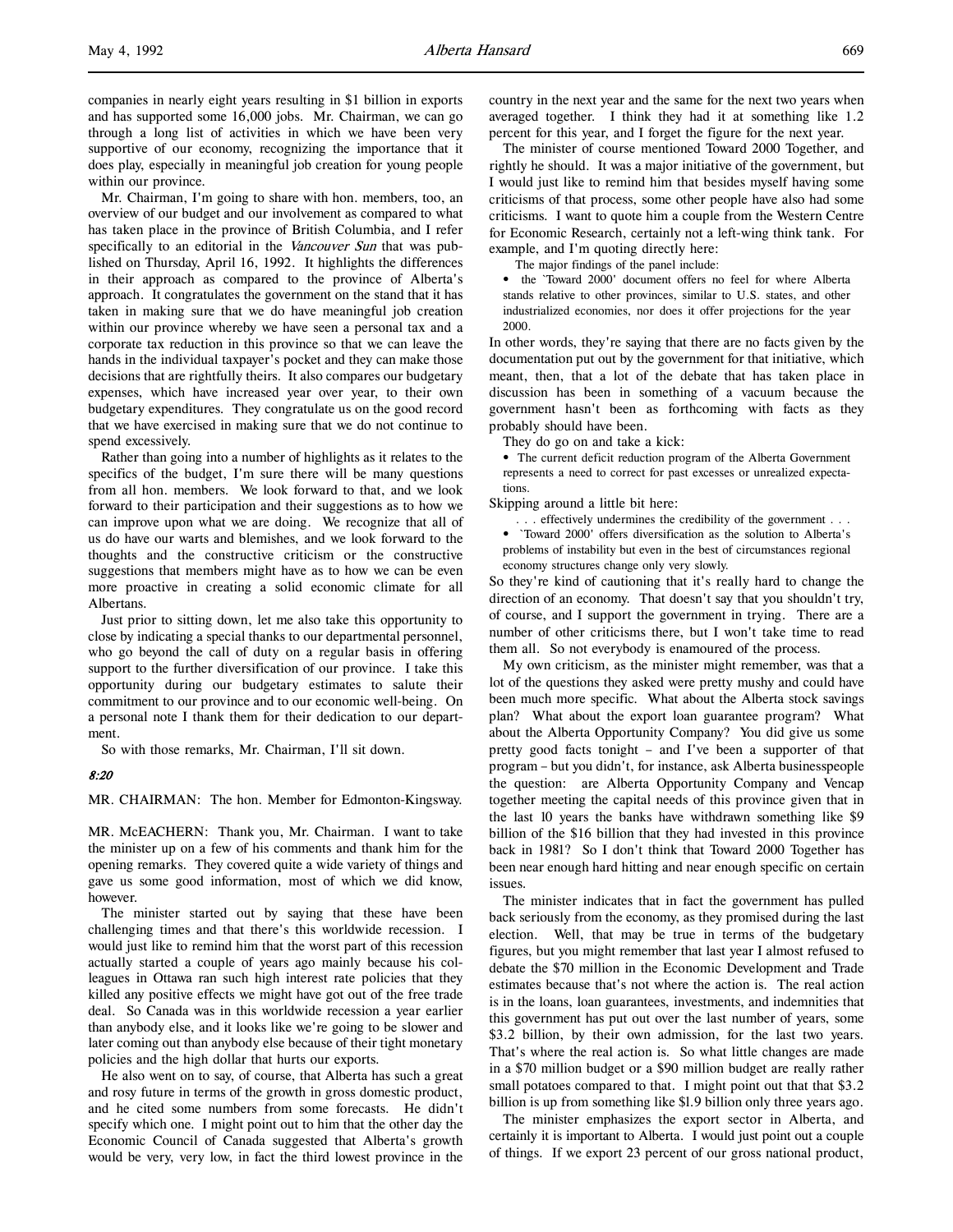companies in nearly eight years resulting in \$1 billion in exports and has supported some 16,000 jobs. Mr. Chairman, we can go through a long list of activities in which we have been very supportive of our economy, recognizing the importance that it does play, especially in meaningful job creation for young people within our province.

Mr. Chairman, I'm going to share with hon. members, too, an overview of our budget and our involvement as compared to what has taken place in the province of British Columbia, and I refer specifically to an editorial in the Vancouver Sun that was published on Thursday, April 16, 1992. It highlights the differences in their approach as compared to the province of Alberta's approach. It congratulates the government on the stand that it has taken in making sure that we do have meaningful job creation within our province whereby we have seen a personal tax and a corporate tax reduction in this province so that we can leave the hands in the individual taxpayer's pocket and they can make those decisions that are rightfully theirs. It also compares our budgetary expenses, which have increased year over year, to their own budgetary expenditures. They congratulate us on the good record that we have exercised in making sure that we do not continue to spend excessively.

Rather than going into a number of highlights as it relates to the specifics of the budget, I'm sure there will be many questions from all hon. members. We look forward to that, and we look forward to their participation and their suggestions as to how we can improve upon what we are doing. We recognize that all of us do have our warts and blemishes, and we look forward to the thoughts and the constructive criticism or the constructive suggestions that members might have as to how we can be even more proactive in creating a solid economic climate for all Albertans.

Just prior to sitting down, let me also take this opportunity to close by indicating a special thanks to our departmental personnel, who go beyond the call of duty on a regular basis in offering support to the further diversification of our province. I take this opportunity during our budgetary estimates to salute their commitment to our province and to our economic well-being. On a personal note I thank them for their dedication to our department.

So with those remarks, Mr. Chairman, I'll sit down.

#### 8:20

MR. CHAIRMAN: The hon. Member for Edmonton-Kingsway.

MR. McEACHERN: Thank you, Mr. Chairman. I want to take the minister up on a few of his comments and thank him for the opening remarks. They covered quite a wide variety of things and gave us some good information, most of which we did know, however.

The minister started out by saying that these have been challenging times and that there's this worldwide recession. I would just like to remind him that the worst part of this recession actually started a couple of years ago mainly because his colleagues in Ottawa ran such high interest rate policies that they killed any positive effects we might have got out of the free trade deal. So Canada was in this worldwide recession a year earlier than anybody else, and it looks like we're going to be slower and later coming out than anybody else because of their tight monetary policies and the high dollar that hurts our exports.

He also went on to say, of course, that Alberta has such a great and rosy future in terms of the growth in gross domestic product, and he cited some numbers from some forecasts. He didn't specify which one. I might point out to him that the other day the Economic Council of Canada suggested that Alberta's growth would be very, very low, in fact the third lowest province in the

country in the next year and the same for the next two years when averaged together. I think they had it at something like 1.2 percent for this year, and I forget the figure for the next year.

The minister of course mentioned Toward 2000 Together, and rightly he should. It was a major initiative of the government, but I would just like to remind him that besides myself having some criticisms of that process, some other people have also had some criticisms. I want to quote him a couple from the Western Centre for Economic Research, certainly not a left-wing think tank. For example, and I'm quoting directly here:

The major findings of the panel include:

• the `Toward 2000' document offers no feel for where Alberta stands relative to other provinces, similar to U.S. states, and other industrialized economies, nor does it offer projections for the year 2000.

In other words, they're saying that there are no facts given by the documentation put out by the government for that initiative, which meant, then, that a lot of the debate that has taken place in discussion has been in something of a vacuum because the government hasn't been as forthcoming with facts as they probably should have been.

They do go on and take a kick:

• The current deficit reduction program of the Alberta Government represents a need to correct for past excesses or unrealized expectations.

Skipping around a little bit here:

- . . . effectively undermines the credibility of the government . . . • `Toward 2000' offers diversification as the solution to Alberta's problems of instability but even in the best of circumstances regional
- economy structures change only very slowly.

So they're kind of cautioning that it's really hard to change the direction of an economy. That doesn't say that you shouldn't try, of course, and I support the government in trying. There are a number of other criticisms there, but I won't take time to read them all. So not everybody is enamoured of the process.

My own criticism, as the minister might remember, was that a lot of the questions they asked were pretty mushy and could have been much more specific. What about the Alberta stock savings plan? What about the export loan guarantee program? What about the Alberta Opportunity Company? You did give us some pretty good facts tonight – and I've been a supporter of that program – but you didn't, for instance, ask Alberta businesspeople the question: are Alberta Opportunity Company and Vencap together meeting the capital needs of this province given that in the last 10 years the banks have withdrawn something like \$9 billion of the \$16 billion that they had invested in this province back in 1981? So I don't think that Toward 2000 Together has been near enough hard hitting and near enough specific on certain issues.

The minister indicates that in fact the government has pulled back seriously from the economy, as they promised during the last election. Well, that may be true in terms of the budgetary figures, but you might remember that last year I almost refused to debate the \$70 million in the Economic Development and Trade estimates because that's not where the action is. The real action is in the loans, loan guarantees, investments, and indemnities that this government has put out over the last number of years, some \$3.2 billion, by their own admission, for the last two years. That's where the real action is. So what little changes are made in a \$70 million budget or a \$90 million budget are really rather small potatoes compared to that. I might point out that that \$3.2 billion is up from something like \$l.9 billion only three years ago.

The minister emphasizes the export sector in Alberta, and certainly it is important to Alberta. I would just point out a couple of things. If we export 23 percent of our gross national product,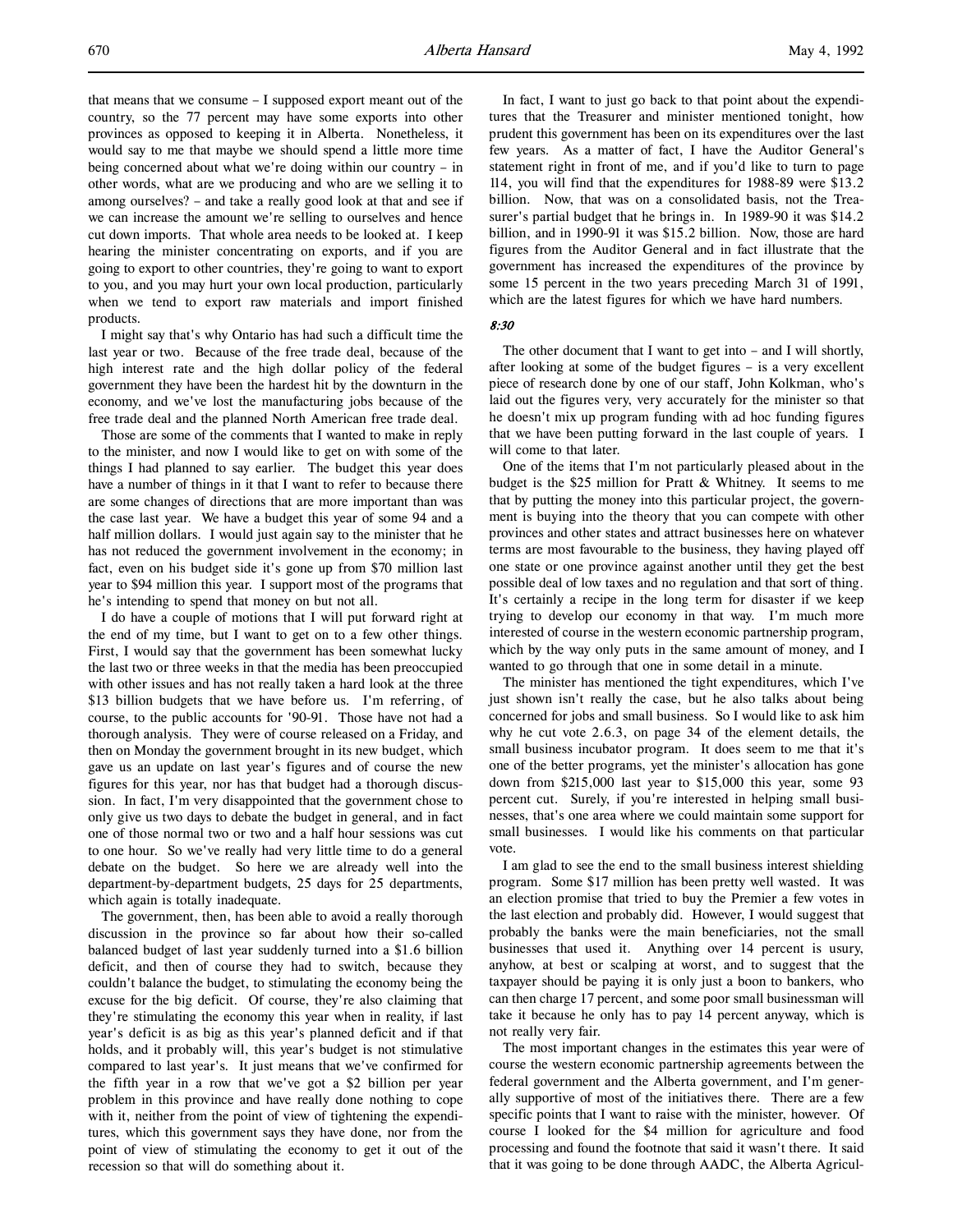that means that we consume – I supposed export meant out of the country, so the 77 percent may have some exports into other provinces as opposed to keeping it in Alberta. Nonetheless, it would say to me that maybe we should spend a little more time being concerned about what we're doing within our country – in other words, what are we producing and who are we selling it to among ourselves? – and take a really good look at that and see if we can increase the amount we're selling to ourselves and hence cut down imports. That whole area needs to be looked at. I keep hearing the minister concentrating on exports, and if you are going to export to other countries, they're going to want to export to you, and you may hurt your own local production, particularly when we tend to export raw materials and import finished products.

I might say that's why Ontario has had such a difficult time the last year or two. Because of the free trade deal, because of the high interest rate and the high dollar policy of the federal government they have been the hardest hit by the downturn in the economy, and we've lost the manufacturing jobs because of the free trade deal and the planned North American free trade deal.

Those are some of the comments that I wanted to make in reply to the minister, and now I would like to get on with some of the things I had planned to say earlier. The budget this year does have a number of things in it that I want to refer to because there are some changes of directions that are more important than was the case last year. We have a budget this year of some 94 and a half million dollars. I would just again say to the minister that he has not reduced the government involvement in the economy; in fact, even on his budget side it's gone up from \$70 million last year to \$94 million this year. I support most of the programs that he's intending to spend that money on but not all.

I do have a couple of motions that I will put forward right at the end of my time, but I want to get on to a few other things. First, I would say that the government has been somewhat lucky the last two or three weeks in that the media has been preoccupied with other issues and has not really taken a hard look at the three \$13 billion budgets that we have before us. I'm referring, of course, to the public accounts for '90-91. Those have not had a thorough analysis. They were of course released on a Friday, and then on Monday the government brought in its new budget, which gave us an update on last year's figures and of course the new figures for this year, nor has that budget had a thorough discussion. In fact, I'm very disappointed that the government chose to only give us two days to debate the budget in general, and in fact one of those normal two or two and a half hour sessions was cut to one hour. So we've really had very little time to do a general debate on the budget. So here we are already well into the department-by-department budgets, 25 days for 25 departments, which again is totally inadequate.

The government, then, has been able to avoid a really thorough discussion in the province so far about how their so-called balanced budget of last year suddenly turned into a \$1.6 billion deficit, and then of course they had to switch, because they couldn't balance the budget, to stimulating the economy being the excuse for the big deficit. Of course, they're also claiming that they're stimulating the economy this year when in reality, if last year's deficit is as big as this year's planned deficit and if that holds, and it probably will, this year's budget is not stimulative compared to last year's. It just means that we've confirmed for the fifth year in a row that we've got a \$2 billion per year problem in this province and have really done nothing to cope with it, neither from the point of view of tightening the expenditures, which this government says they have done, nor from the point of view of stimulating the economy to get it out of the recession so that will do something about it.

In fact, I want to just go back to that point about the expenditures that the Treasurer and minister mentioned tonight, how prudent this government has been on its expenditures over the last few years. As a matter of fact, I have the Auditor General's statement right in front of me, and if you'd like to turn to page 114, you will find that the expenditures for 1988-89 were \$13.2 billion. Now, that was on a consolidated basis, not the Treasurer's partial budget that he brings in. In 1989-90 it was \$14.2 billion, and in 1990-91 it was \$15.2 billion. Now, those are hard figures from the Auditor General and in fact illustrate that the government has increased the expenditures of the province by some 15 percent in the two years preceding March 31 of 1991, which are the latest figures for which we have hard numbers.

8:30

The other document that I want to get into – and I will shortly, after looking at some of the budget figures – is a very excellent piece of research done by one of our staff, John Kolkman, who's laid out the figures very, very accurately for the minister so that he doesn't mix up program funding with ad hoc funding figures that we have been putting forward in the last couple of years. I will come to that later.

One of the items that I'm not particularly pleased about in the budget is the \$25 million for Pratt & Whitney. It seems to me that by putting the money into this particular project, the government is buying into the theory that you can compete with other provinces and other states and attract businesses here on whatever terms are most favourable to the business, they having played off one state or one province against another until they get the best possible deal of low taxes and no regulation and that sort of thing. It's certainly a recipe in the long term for disaster if we keep trying to develop our economy in that way. I'm much more interested of course in the western economic partnership program, which by the way only puts in the same amount of money, and I wanted to go through that one in some detail in a minute.

The minister has mentioned the tight expenditures, which I've just shown isn't really the case, but he also talks about being concerned for jobs and small business. So I would like to ask him why he cut vote 2.6.3, on page 34 of the element details, the small business incubator program. It does seem to me that it's one of the better programs, yet the minister's allocation has gone down from \$215,000 last year to \$15,000 this year, some 93 percent cut. Surely, if you're interested in helping small businesses, that's one area where we could maintain some support for small businesses. I would like his comments on that particular vote.

I am glad to see the end to the small business interest shielding program. Some \$17 million has been pretty well wasted. It was an election promise that tried to buy the Premier a few votes in the last election and probably did. However, I would suggest that probably the banks were the main beneficiaries, not the small businesses that used it. Anything over 14 percent is usury, anyhow, at best or scalping at worst, and to suggest that the taxpayer should be paying it is only just a boon to bankers, who can then charge 17 percent, and some poor small businessman will take it because he only has to pay 14 percent anyway, which is not really very fair.

The most important changes in the estimates this year were of course the western economic partnership agreements between the federal government and the Alberta government, and I'm generally supportive of most of the initiatives there. There are a few specific points that I want to raise with the minister, however. Of course I looked for the \$4 million for agriculture and food processing and found the footnote that said it wasn't there. It said that it was going to be done through AADC, the Alberta Agricul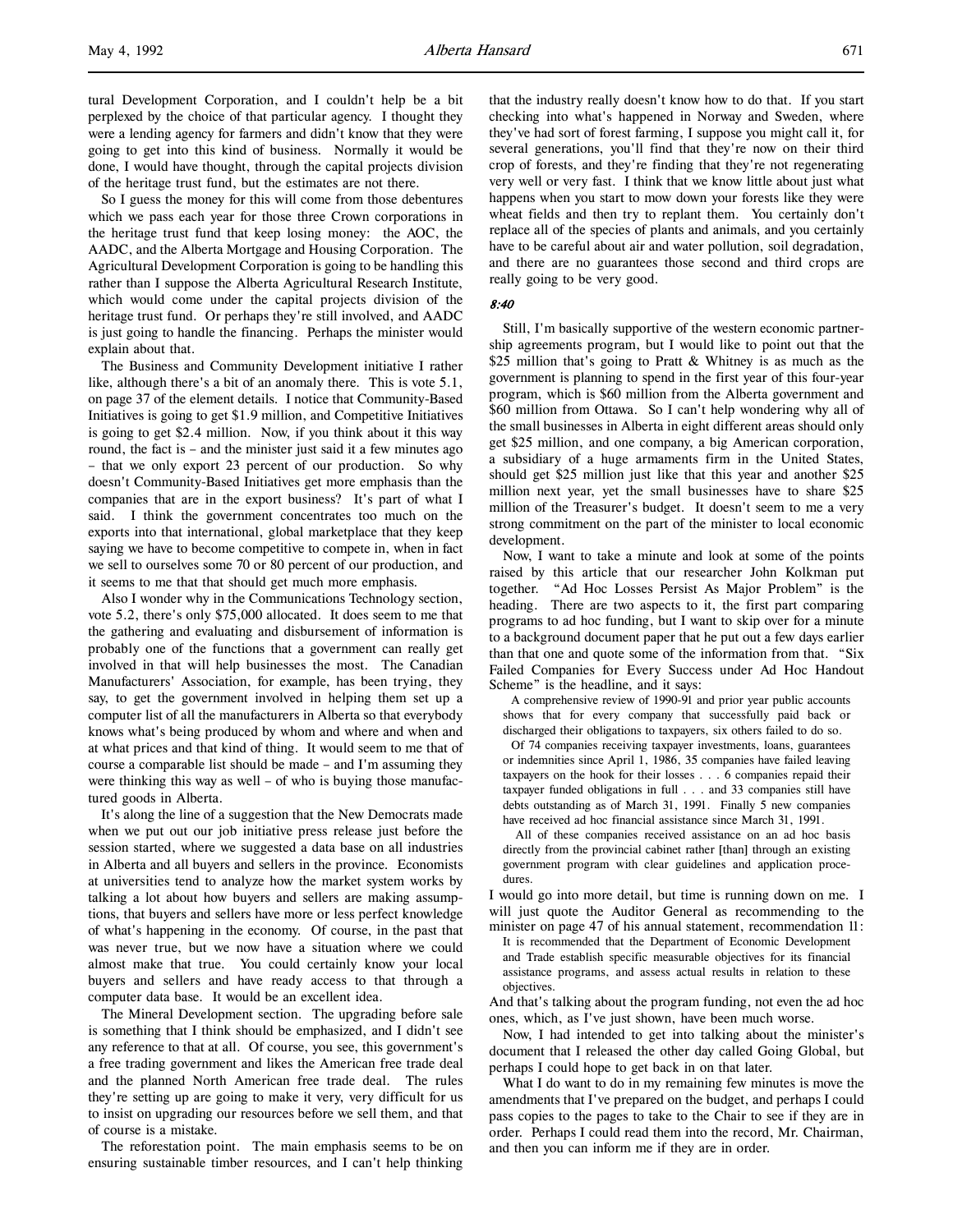tural Development Corporation, and I couldn't help be a bit perplexed by the choice of that particular agency. I thought they were a lending agency for farmers and didn't know that they were going to get into this kind of business. Normally it would be done, I would have thought, through the capital projects division of the heritage trust fund, but the estimates are not there.

So I guess the money for this will come from those debentures which we pass each year for those three Crown corporations in the heritage trust fund that keep losing money: the AOC, the AADC, and the Alberta Mortgage and Housing Corporation. The Agricultural Development Corporation is going to be handling this rather than I suppose the Alberta Agricultural Research Institute, which would come under the capital projects division of the heritage trust fund. Or perhaps they're still involved, and AADC is just going to handle the financing. Perhaps the minister would explain about that.

The Business and Community Development initiative I rather like, although there's a bit of an anomaly there. This is vote 5.1, on page 37 of the element details. I notice that Community-Based Initiatives is going to get \$1.9 million, and Competitive Initiatives is going to get \$2.4 million. Now, if you think about it this way round, the fact is – and the minister just said it a few minutes ago – that we only export 23 percent of our production. So why doesn't Community-Based Initiatives get more emphasis than the companies that are in the export business? It's part of what I said. I think the government concentrates too much on the exports into that international, global marketplace that they keep saying we have to become competitive to compete in, when in fact we sell to ourselves some 70 or 80 percent of our production, and it seems to me that that should get much more emphasis.

Also I wonder why in the Communications Technology section, vote 5.2, there's only \$75,000 allocated. It does seem to me that the gathering and evaluating and disbursement of information is probably one of the functions that a government can really get involved in that will help businesses the most. The Canadian Manufacturers' Association, for example, has been trying, they say, to get the government involved in helping them set up a computer list of all the manufacturers in Alberta so that everybody knows what's being produced by whom and where and when and at what prices and that kind of thing. It would seem to me that of course a comparable list should be made – and I'm assuming they were thinking this way as well – of who is buying those manufactured goods in Alberta.

It's along the line of a suggestion that the New Democrats made when we put out our job initiative press release just before the session started, where we suggested a data base on all industries in Alberta and all buyers and sellers in the province. Economists at universities tend to analyze how the market system works by talking a lot about how buyers and sellers are making assumptions, that buyers and sellers have more or less perfect knowledge of what's happening in the economy. Of course, in the past that was never true, but we now have a situation where we could almost make that true. You could certainly know your local buyers and sellers and have ready access to that through a computer data base. It would be an excellent idea.

The Mineral Development section. The upgrading before sale is something that I think should be emphasized, and I didn't see any reference to that at all. Of course, you see, this government's a free trading government and likes the American free trade deal and the planned North American free trade deal. The rules they're setting up are going to make it very, very difficult for us to insist on upgrading our resources before we sell them, and that of course is a mistake.

The reforestation point. The main emphasis seems to be on ensuring sustainable timber resources, and I can't help thinking

that the industry really doesn't know how to do that. If you start checking into what's happened in Norway and Sweden, where they've had sort of forest farming, I suppose you might call it, for several generations, you'll find that they're now on their third crop of forests, and they're finding that they're not regenerating very well or very fast. I think that we know little about just what happens when you start to mow down your forests like they were wheat fields and then try to replant them. You certainly don't replace all of the species of plants and animals, and you certainly have to be careful about air and water pollution, soil degradation, and there are no guarantees those second and third crops are really going to be very good.

#### 8:40

Still, I'm basically supportive of the western economic partnership agreements program, but I would like to point out that the \$25 million that's going to Pratt & Whitney is as much as the government is planning to spend in the first year of this four-year program, which is \$60 million from the Alberta government and \$60 million from Ottawa. So I can't help wondering why all of the small businesses in Alberta in eight different areas should only get \$25 million, and one company, a big American corporation, a subsidiary of a huge armaments firm in the United States, should get \$25 million just like that this year and another \$25 million next year, yet the small businesses have to share \$25 million of the Treasurer's budget. It doesn't seem to me a very strong commitment on the part of the minister to local economic development.

Now, I want to take a minute and look at some of the points raised by this article that our researcher John Kolkman put together. "Ad Hoc Losses Persist As Major Problem" is the heading. There are two aspects to it, the first part comparing programs to ad hoc funding, but I want to skip over for a minute to a background document paper that he put out a few days earlier than that one and quote some of the information from that. "Six Failed Companies for Every Success under Ad Hoc Handout Scheme" is the headline, and it says:

 A comprehensive review of 1990-91 and prior year public accounts shows that for every company that successfully paid back or discharged their obligations to taxpayers, six others failed to do so.

 Of 74 companies receiving taxpayer investments, loans, guarantees or indemnities since April 1, 1986, 35 companies have failed leaving taxpayers on the hook for their losses . . . 6 companies repaid their taxpayer funded obligations in full . . . and 33 companies still have debts outstanding as of March 31, 1991. Finally 5 new companies have received ad hoc financial assistance since March 31, 1991.

 All of these companies received assistance on an ad hoc basis directly from the provincial cabinet rather [than] through an existing government program with clear guidelines and application procedures.

I would go into more detail, but time is running down on me. I will just quote the Auditor General as recommending to the minister on page 47 of his annual statement, recommendation 11:

It is recommended that the Department of Economic Development and Trade establish specific measurable objectives for its financial assistance programs, and assess actual results in relation to these objectives.

And that's talking about the program funding, not even the ad hoc ones, which, as I've just shown, have been much worse.

Now, I had intended to get into talking about the minister's document that I released the other day called Going Global, but perhaps I could hope to get back in on that later.

What I do want to do in my remaining few minutes is move the amendments that I've prepared on the budget, and perhaps I could pass copies to the pages to take to the Chair to see if they are in order. Perhaps I could read them into the record, Mr. Chairman, and then you can inform me if they are in order.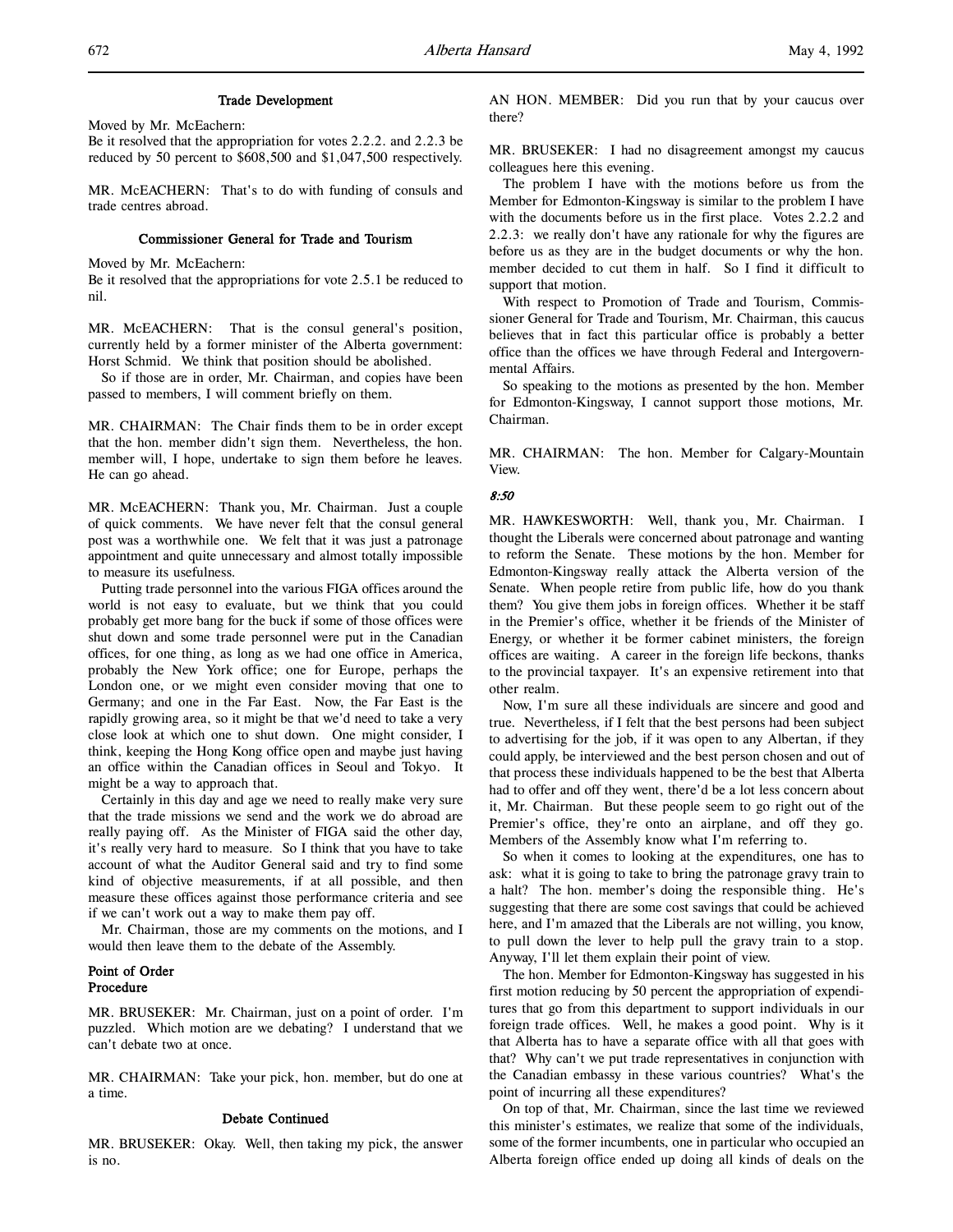#### Trade Development

Moved by Mr. McEachern: Be it resolved that the appropriation for votes 2.2.2. and 2.2.3 be reduced by 50 percent to \$608,500 and \$1,047,500 respectively.

MR. McEACHERN: That's to do with funding of consuls and trade centres abroad.

## Commissioner General for Trade and Tourism

Moved by Mr. McEachern:

Be it resolved that the appropriations for vote 2.5.1 be reduced to nil.

MR. McEACHERN: That is the consul general's position, currently held by a former minister of the Alberta government: Horst Schmid. We think that position should be abolished.

So if those are in order, Mr. Chairman, and copies have been passed to members, I will comment briefly on them.

MR. CHAIRMAN: The Chair finds them to be in order except that the hon. member didn't sign them. Nevertheless, the hon. member will, I hope, undertake to sign them before he leaves. He can go ahead.

MR. McEACHERN: Thank you, Mr. Chairman. Just a couple of quick comments. We have never felt that the consul general post was a worthwhile one. We felt that it was just a patronage appointment and quite unnecessary and almost totally impossible to measure its usefulness.

Putting trade personnel into the various FIGA offices around the world is not easy to evaluate, but we think that you could probably get more bang for the buck if some of those offices were shut down and some trade personnel were put in the Canadian offices, for one thing, as long as we had one office in America, probably the New York office; one for Europe, perhaps the London one, or we might even consider moving that one to Germany; and one in the Far East. Now, the Far East is the rapidly growing area, so it might be that we'd need to take a very close look at which one to shut down. One might consider, I think, keeping the Hong Kong office open and maybe just having an office within the Canadian offices in Seoul and Tokyo. It might be a way to approach that.

Certainly in this day and age we need to really make very sure that the trade missions we send and the work we do abroad are really paying off. As the Minister of FIGA said the other day, it's really very hard to measure. So I think that you have to take account of what the Auditor General said and try to find some kind of objective measurements, if at all possible, and then measure these offices against those performance criteria and see if we can't work out a way to make them pay off.

Mr. Chairman, those are my comments on the motions, and I would then leave them to the debate of the Assembly.

### Point of Order Procedure

MR. BRUSEKER: Mr. Chairman, just on a point of order. I'm puzzled. Which motion are we debating? I understand that we can't debate two at once.

MR. CHAIRMAN: Take your pick, hon. member, but do one at a time.

## Debate Continued

MR. BRUSEKER: Okay. Well, then taking my pick, the answer is no.

AN HON. MEMBER: Did you run that by your caucus over there?

MR. BRUSEKER: I had no disagreement amongst my caucus colleagues here this evening.

The problem I have with the motions before us from the Member for Edmonton-Kingsway is similar to the problem I have with the documents before us in the first place. Votes 2.2.2 and 2.2.3: we really don't have any rationale for why the figures are before us as they are in the budget documents or why the hon. member decided to cut them in half. So I find it difficult to support that motion.

With respect to Promotion of Trade and Tourism, Commissioner General for Trade and Tourism, Mr. Chairman, this caucus believes that in fact this particular office is probably a better office than the offices we have through Federal and Intergovernmental Affairs.

So speaking to the motions as presented by the hon. Member for Edmonton-Kingsway, I cannot support those motions, Mr. Chairman.

MR. CHAIRMAN: The hon. Member for Calgary-Mountain View.

#### 8:50

MR. HAWKESWORTH: Well, thank you, Mr. Chairman. I thought the Liberals were concerned about patronage and wanting to reform the Senate. These motions by the hon. Member for Edmonton-Kingsway really attack the Alberta version of the Senate. When people retire from public life, how do you thank them? You give them jobs in foreign offices. Whether it be staff in the Premier's office, whether it be friends of the Minister of Energy, or whether it be former cabinet ministers, the foreign offices are waiting. A career in the foreign life beckons, thanks to the provincial taxpayer. It's an expensive retirement into that other realm.

Now, I'm sure all these individuals are sincere and good and true. Nevertheless, if I felt that the best persons had been subject to advertising for the job, if it was open to any Albertan, if they could apply, be interviewed and the best person chosen and out of that process these individuals happened to be the best that Alberta had to offer and off they went, there'd be a lot less concern about it, Mr. Chairman. But these people seem to go right out of the Premier's office, they're onto an airplane, and off they go. Members of the Assembly know what I'm referring to.

So when it comes to looking at the expenditures, one has to ask: what it is going to take to bring the patronage gravy train to a halt? The hon. member's doing the responsible thing. He's suggesting that there are some cost savings that could be achieved here, and I'm amazed that the Liberals are not willing, you know, to pull down the lever to help pull the gravy train to a stop. Anyway, I'll let them explain their point of view.

The hon. Member for Edmonton-Kingsway has suggested in his first motion reducing by 50 percent the appropriation of expenditures that go from this department to support individuals in our foreign trade offices. Well, he makes a good point. Why is it that Alberta has to have a separate office with all that goes with that? Why can't we put trade representatives in conjunction with the Canadian embassy in these various countries? What's the point of incurring all these expenditures?

On top of that, Mr. Chairman, since the last time we reviewed this minister's estimates, we realize that some of the individuals, some of the former incumbents, one in particular who occupied an Alberta foreign office ended up doing all kinds of deals on the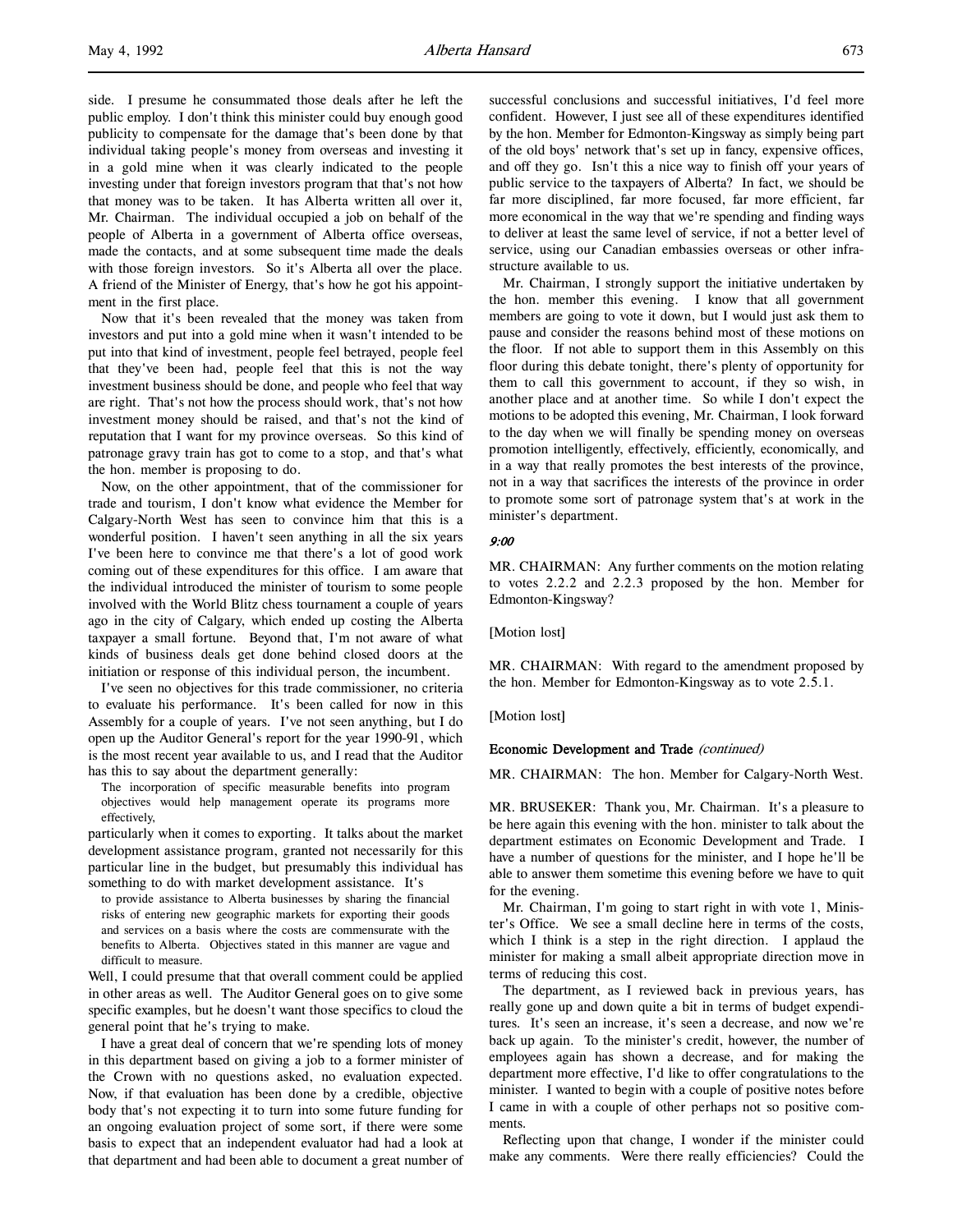side. I presume he consummated those deals after he left the public employ. I don't think this minister could buy enough good publicity to compensate for the damage that's been done by that individual taking people's money from overseas and investing it in a gold mine when it was clearly indicated to the people investing under that foreign investors program that that's not how that money was to be taken. It has Alberta written all over it, Mr. Chairman. The individual occupied a job on behalf of the people of Alberta in a government of Alberta office overseas, made the contacts, and at some subsequent time made the deals with those foreign investors. So it's Alberta all over the place. A friend of the Minister of Energy, that's how he got his appointment in the first place.

Now that it's been revealed that the money was taken from investors and put into a gold mine when it wasn't intended to be put into that kind of investment, people feel betrayed, people feel that they've been had, people feel that this is not the way investment business should be done, and people who feel that way are right. That's not how the process should work, that's not how investment money should be raised, and that's not the kind of reputation that I want for my province overseas. So this kind of patronage gravy train has got to come to a stop, and that's what the hon. member is proposing to do.

Now, on the other appointment, that of the commissioner for trade and tourism, I don't know what evidence the Member for Calgary-North West has seen to convince him that this is a wonderful position. I haven't seen anything in all the six years I've been here to convince me that there's a lot of good work coming out of these expenditures for this office. I am aware that the individual introduced the minister of tourism to some people involved with the World Blitz chess tournament a couple of years ago in the city of Calgary, which ended up costing the Alberta taxpayer a small fortune. Beyond that, I'm not aware of what kinds of business deals get done behind closed doors at the initiation or response of this individual person, the incumbent.

I've seen no objectives for this trade commissioner, no criteria to evaluate his performance. It's been called for now in this Assembly for a couple of years. I've not seen anything, but I do open up the Auditor General's report for the year 1990-91, which is the most recent year available to us, and I read that the Auditor has this to say about the department generally:

The incorporation of specific measurable benefits into program objectives would help management operate its programs more effectively,

particularly when it comes to exporting. It talks about the market development assistance program, granted not necessarily for this particular line in the budget, but presumably this individual has something to do with market development assistance. It's

to provide assistance to Alberta businesses by sharing the financial risks of entering new geographic markets for exporting their goods and services on a basis where the costs are commensurate with the benefits to Alberta. Objectives stated in this manner are vague and difficult to measure.

Well, I could presume that that overall comment could be applied in other areas as well. The Auditor General goes on to give some specific examples, but he doesn't want those specifics to cloud the general point that he's trying to make.

I have a great deal of concern that we're spending lots of money in this department based on giving a job to a former minister of the Crown with no questions asked, no evaluation expected. Now, if that evaluation has been done by a credible, objective body that's not expecting it to turn into some future funding for an ongoing evaluation project of some sort, if there were some basis to expect that an independent evaluator had had a look at that department and had been able to document a great number of successful conclusions and successful initiatives, I'd feel more confident. However, I just see all of these expenditures identified by the hon. Member for Edmonton-Kingsway as simply being part of the old boys' network that's set up in fancy, expensive offices, and off they go. Isn't this a nice way to finish off your years of public service to the taxpayers of Alberta? In fact, we should be far more disciplined, far more focused, far more efficient, far more economical in the way that we're spending and finding ways to deliver at least the same level of service, if not a better level of service, using our Canadian embassies overseas or other infrastructure available to us.

Mr. Chairman, I strongly support the initiative undertaken by the hon. member this evening. I know that all government members are going to vote it down, but I would just ask them to pause and consider the reasons behind most of these motions on the floor. If not able to support them in this Assembly on this floor during this debate tonight, there's plenty of opportunity for them to call this government to account, if they so wish, in another place and at another time. So while I don't expect the motions to be adopted this evening, Mr. Chairman, I look forward to the day when we will finally be spending money on overseas promotion intelligently, effectively, efficiently, economically, and in a way that really promotes the best interests of the province, not in a way that sacrifices the interests of the province in order to promote some sort of patronage system that's at work in the minister's department.

## 9:00

MR. CHAIRMAN: Any further comments on the motion relating to votes 2.2.2 and 2.2.3 proposed by the hon. Member for Edmonton-Kingsway?

[Motion lost]

MR. CHAIRMAN: With regard to the amendment proposed by the hon. Member for Edmonton-Kingsway as to vote 2.5.1.

[Motion lost]

#### Economic Development and Trade (continued)

MR. CHAIRMAN: The hon. Member for Calgary-North West.

MR. BRUSEKER: Thank you, Mr. Chairman. It's a pleasure to be here again this evening with the hon. minister to talk about the department estimates on Economic Development and Trade. I have a number of questions for the minister, and I hope he'll be able to answer them sometime this evening before we have to quit for the evening.

Mr. Chairman, I'm going to start right in with vote 1, Minister's Office. We see a small decline here in terms of the costs, which I think is a step in the right direction. I applaud the minister for making a small albeit appropriate direction move in terms of reducing this cost.

The department, as I reviewed back in previous years, has really gone up and down quite a bit in terms of budget expenditures. It's seen an increase, it's seen a decrease, and now we're back up again. To the minister's credit, however, the number of employees again has shown a decrease, and for making the department more effective, I'd like to offer congratulations to the minister. I wanted to begin with a couple of positive notes before I came in with a couple of other perhaps not so positive comments.

Reflecting upon that change, I wonder if the minister could make any comments. Were there really efficiencies? Could the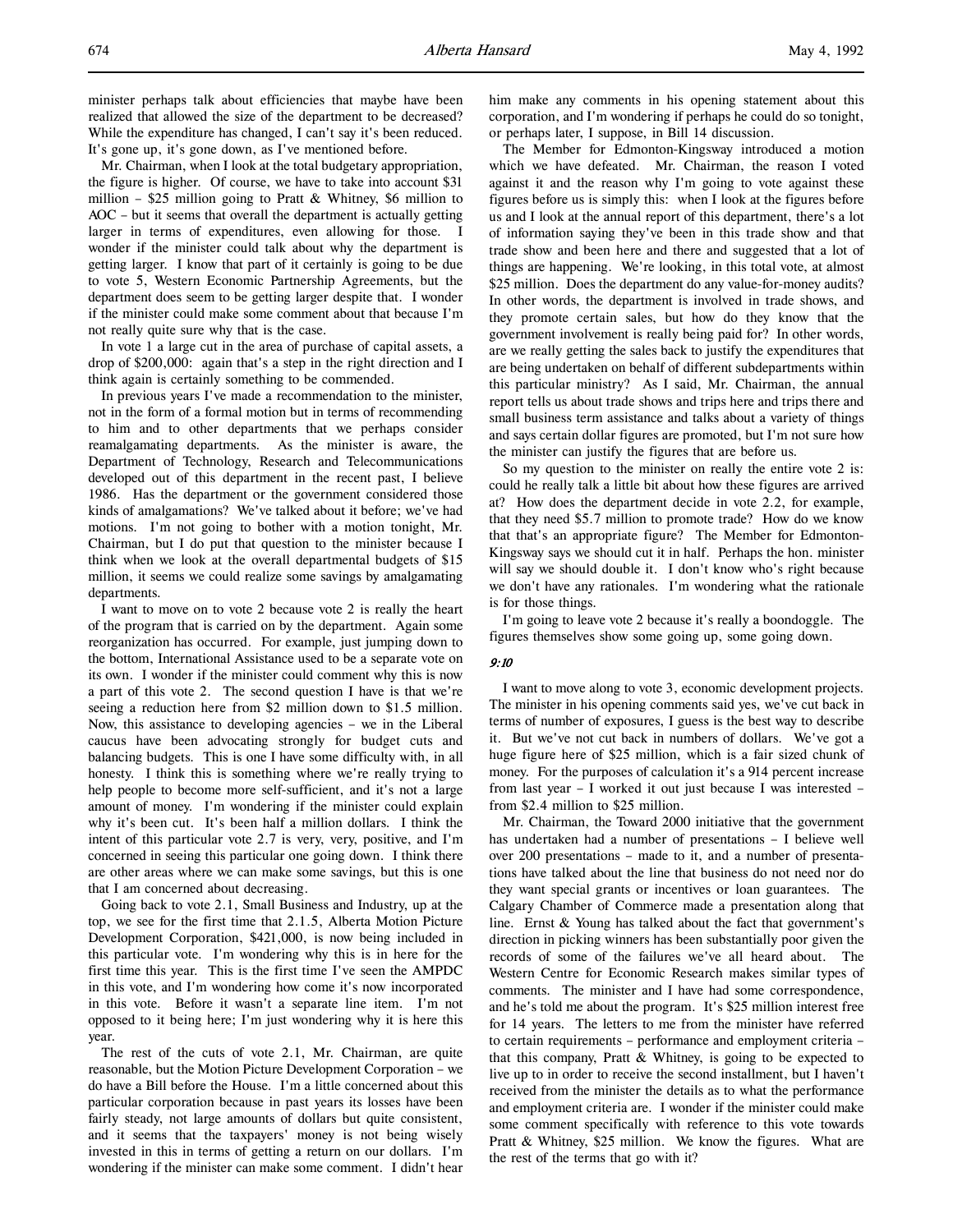minister perhaps talk about efficiencies that maybe have been realized that allowed the size of the department to be decreased? While the expenditure has changed, I can't say it's been reduced. It's gone up, it's gone down, as I've mentioned before.

Mr. Chairman, when I look at the total budgetary appropriation, the figure is higher. Of course, we have to take into account \$31 million –  $$25$  million going to Pratt & Whitney, \$6 million to AOC – but it seems that overall the department is actually getting larger in terms of expenditures, even allowing for those. I wonder if the minister could talk about why the department is getting larger. I know that part of it certainly is going to be due to vote 5, Western Economic Partnership Agreements, but the department does seem to be getting larger despite that. I wonder if the minister could make some comment about that because I'm not really quite sure why that is the case.

In vote 1 a large cut in the area of purchase of capital assets, a drop of \$200,000: again that's a step in the right direction and I think again is certainly something to be commended.

In previous years I've made a recommendation to the minister, not in the form of a formal motion but in terms of recommending to him and to other departments that we perhaps consider reamalgamating departments. As the minister is aware, the Department of Technology, Research and Telecommunications developed out of this department in the recent past, I believe 1986. Has the department or the government considered those kinds of amalgamations? We've talked about it before; we've had motions. I'm not going to bother with a motion tonight, Mr. Chairman, but I do put that question to the minister because I think when we look at the overall departmental budgets of \$15 million, it seems we could realize some savings by amalgamating departments.

I want to move on to vote 2 because vote 2 is really the heart of the program that is carried on by the department. Again some reorganization has occurred. For example, just jumping down to the bottom, International Assistance used to be a separate vote on its own. I wonder if the minister could comment why this is now a part of this vote 2. The second question I have is that we're seeing a reduction here from \$2 million down to \$1.5 million. Now, this assistance to developing agencies – we in the Liberal caucus have been advocating strongly for budget cuts and balancing budgets. This is one I have some difficulty with, in all honesty. I think this is something where we're really trying to help people to become more self-sufficient, and it's not a large amount of money. I'm wondering if the minister could explain why it's been cut. It's been half a million dollars. I think the intent of this particular vote 2.7 is very, very, positive, and I'm concerned in seeing this particular one going down. I think there are other areas where we can make some savings, but this is one that I am concerned about decreasing.

Going back to vote 2.1, Small Business and Industry, up at the top, we see for the first time that 2.1.5, Alberta Motion Picture Development Corporation, \$421,000, is now being included in this particular vote. I'm wondering why this is in here for the first time this year. This is the first time I've seen the AMPDC in this vote, and I'm wondering how come it's now incorporated in this vote. Before it wasn't a separate line item. I'm not opposed to it being here; I'm just wondering why it is here this year.

The rest of the cuts of vote 2.1, Mr. Chairman, are quite reasonable, but the Motion Picture Development Corporation – we do have a Bill before the House. I'm a little concerned about this particular corporation because in past years its losses have been fairly steady, not large amounts of dollars but quite consistent, and it seems that the taxpayers' money is not being wisely invested in this in terms of getting a return on our dollars. I'm wondering if the minister can make some comment. I didn't hear

him make any comments in his opening statement about this corporation, and I'm wondering if perhaps he could do so tonight, or perhaps later, I suppose, in Bill 14 discussion.

The Member for Edmonton-Kingsway introduced a motion which we have defeated. Mr. Chairman, the reason I voted against it and the reason why I'm going to vote against these figures before us is simply this: when I look at the figures before us and I look at the annual report of this department, there's a lot of information saying they've been in this trade show and that trade show and been here and there and suggested that a lot of things are happening. We're looking, in this total vote, at almost \$25 million. Does the department do any value-for-money audits? In other words, the department is involved in trade shows, and they promote certain sales, but how do they know that the government involvement is really being paid for? In other words, are we really getting the sales back to justify the expenditures that are being undertaken on behalf of different subdepartments within this particular ministry? As I said, Mr. Chairman, the annual report tells us about trade shows and trips here and trips there and small business term assistance and talks about a variety of things and says certain dollar figures are promoted, but I'm not sure how the minister can justify the figures that are before us.

So my question to the minister on really the entire vote 2 is: could he really talk a little bit about how these figures are arrived at? How does the department decide in vote 2.2, for example, that they need \$5.7 million to promote trade? How do we know that that's an appropriate figure? The Member for Edmonton-Kingsway says we should cut it in half. Perhaps the hon. minister will say we should double it. I don't know who's right because we don't have any rationales. I'm wondering what the rationale is for those things.

I'm going to leave vote 2 because it's really a boondoggle. The figures themselves show some going up, some going down.

#### 9:10

I want to move along to vote 3, economic development projects. The minister in his opening comments said yes, we've cut back in terms of number of exposures, I guess is the best way to describe it. But we've not cut back in numbers of dollars. We've got a huge figure here of \$25 million, which is a fair sized chunk of money. For the purposes of calculation it's a 914 percent increase from last year – I worked it out just because I was interested – from \$2.4 million to \$25 million.

Mr. Chairman, the Toward 2000 initiative that the government has undertaken had a number of presentations – I believe well over 200 presentations – made to it, and a number of presentations have talked about the line that business do not need nor do they want special grants or incentives or loan guarantees. The Calgary Chamber of Commerce made a presentation along that line. Ernst & Young has talked about the fact that government's direction in picking winners has been substantially poor given the records of some of the failures we've all heard about. The Western Centre for Economic Research makes similar types of comments. The minister and I have had some correspondence, and he's told me about the program. It's \$25 million interest free for 14 years. The letters to me from the minister have referred to certain requirements – performance and employment criteria – that this company, Pratt & Whitney, is going to be expected to live up to in order to receive the second installment, but I haven't received from the minister the details as to what the performance and employment criteria are. I wonder if the minister could make some comment specifically with reference to this vote towards Pratt & Whitney, \$25 million. We know the figures. What are the rest of the terms that go with it?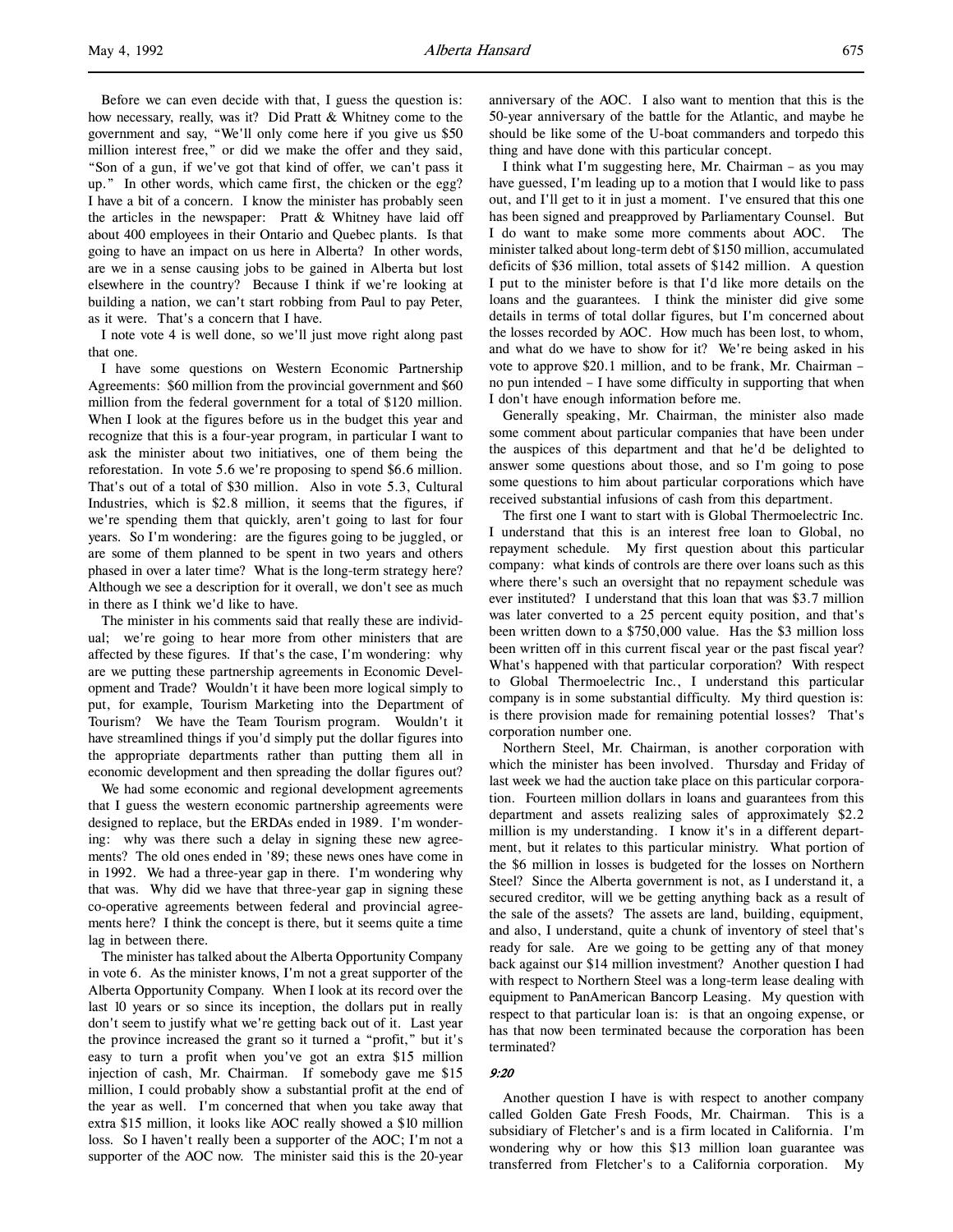Before we can even decide with that, I guess the question is: how necessary, really, was it? Did Pratt & Whitney come to the government and say, "We'll only come here if you give us \$50 million interest free," or did we make the offer and they said, "Son of a gun, if we've got that kind of offer, we can't pass it up." In other words, which came first, the chicken or the egg? I have a bit of a concern. I know the minister has probably seen the articles in the newspaper: Pratt & Whitney have laid off about 400 employees in their Ontario and Quebec plants. Is that going to have an impact on us here in Alberta? In other words, are we in a sense causing jobs to be gained in Alberta but lost elsewhere in the country? Because I think if we're looking at building a nation, we can't start robbing from Paul to pay Peter, as it were. That's a concern that I have.

I note vote 4 is well done, so we'll just move right along past that one.

I have some questions on Western Economic Partnership Agreements: \$60 million from the provincial government and \$60 million from the federal government for a total of \$120 million. When I look at the figures before us in the budget this year and recognize that this is a four-year program, in particular I want to ask the minister about two initiatives, one of them being the reforestation. In vote 5.6 we're proposing to spend \$6.6 million. That's out of a total of \$30 million. Also in vote 5.3, Cultural Industries, which is \$2.8 million, it seems that the figures, if we're spending them that quickly, aren't going to last for four years. So I'm wondering: are the figures going to be juggled, or are some of them planned to be spent in two years and others phased in over a later time? What is the long-term strategy here? Although we see a description for it overall, we don't see as much in there as I think we'd like to have.

The minister in his comments said that really these are individual; we're going to hear more from other ministers that are affected by these figures. If that's the case, I'm wondering: why are we putting these partnership agreements in Economic Development and Trade? Wouldn't it have been more logical simply to put, for example, Tourism Marketing into the Department of Tourism? We have the Team Tourism program. Wouldn't it have streamlined things if you'd simply put the dollar figures into the appropriate departments rather than putting them all in economic development and then spreading the dollar figures out?

We had some economic and regional development agreements that I guess the western economic partnership agreements were designed to replace, but the ERDAs ended in 1989. I'm wondering: why was there such a delay in signing these new agreements? The old ones ended in '89; these news ones have come in in 1992. We had a three-year gap in there. I'm wondering why that was. Why did we have that three-year gap in signing these co-operative agreements between federal and provincial agreements here? I think the concept is there, but it seems quite a time lag in between there.

The minister has talked about the Alberta Opportunity Company in vote 6. As the minister knows, I'm not a great supporter of the Alberta Opportunity Company. When I look at its record over the last 10 years or so since its inception, the dollars put in really don't seem to justify what we're getting back out of it. Last year the province increased the grant so it turned a "profit," but it's easy to turn a profit when you've got an extra \$15 million injection of cash, Mr. Chairman. If somebody gave me \$15 million, I could probably show a substantial profit at the end of the year as well. I'm concerned that when you take away that extra \$15 million, it looks like AOC really showed a \$10 million loss. So I haven't really been a supporter of the AOC; I'm not a supporter of the AOC now. The minister said this is the 20-year anniversary of the AOC. I also want to mention that this is the 50-year anniversary of the battle for the Atlantic, and maybe he should be like some of the U-boat commanders and torpedo this thing and have done with this particular concept.

I think what I'm suggesting here, Mr. Chairman – as you may have guessed, I'm leading up to a motion that I would like to pass out, and I'll get to it in just a moment. I've ensured that this one has been signed and preapproved by Parliamentary Counsel. But I do want to make some more comments about AOC. The minister talked about long-term debt of \$150 million, accumulated deficits of \$36 million, total assets of \$142 million. A question I put to the minister before is that I'd like more details on the loans and the guarantees. I think the minister did give some details in terms of total dollar figures, but I'm concerned about the losses recorded by AOC. How much has been lost, to whom, and what do we have to show for it? We're being asked in his vote to approve \$20.1 million, and to be frank, Mr. Chairman – no pun intended – I have some difficulty in supporting that when I don't have enough information before me.

Generally speaking, Mr. Chairman, the minister also made some comment about particular companies that have been under the auspices of this department and that he'd be delighted to answer some questions about those, and so I'm going to pose some questions to him about particular corporations which have received substantial infusions of cash from this department.

The first one I want to start with is Global Thermoelectric Inc. I understand that this is an interest free loan to Global, no repayment schedule. My first question about this particular company: what kinds of controls are there over loans such as this where there's such an oversight that no repayment schedule was ever instituted? I understand that this loan that was \$3.7 million was later converted to a 25 percent equity position, and that's been written down to a \$750,000 value. Has the \$3 million loss been written off in this current fiscal year or the past fiscal year? What's happened with that particular corporation? With respect to Global Thermoelectric Inc., I understand this particular company is in some substantial difficulty. My third question is: is there provision made for remaining potential losses? That's corporation number one.

Northern Steel, Mr. Chairman, is another corporation with which the minister has been involved. Thursday and Friday of last week we had the auction take place on this particular corporation. Fourteen million dollars in loans and guarantees from this department and assets realizing sales of approximately \$2.2 million is my understanding. I know it's in a different department, but it relates to this particular ministry. What portion of the \$6 million in losses is budgeted for the losses on Northern Steel? Since the Alberta government is not, as I understand it, a secured creditor, will we be getting anything back as a result of the sale of the assets? The assets are land, building, equipment, and also, I understand, quite a chunk of inventory of steel that's ready for sale. Are we going to be getting any of that money back against our \$14 million investment? Another question I had with respect to Northern Steel was a long-term lease dealing with equipment to PanAmerican Bancorp Leasing. My question with respect to that particular loan is: is that an ongoing expense, or has that now been terminated because the corporation has been terminated?

#### 9:20

Another question I have is with respect to another company called Golden Gate Fresh Foods, Mr. Chairman. This is a subsidiary of Fletcher's and is a firm located in California. I'm wondering why or how this \$13 million loan guarantee was transferred from Fletcher's to a California corporation. My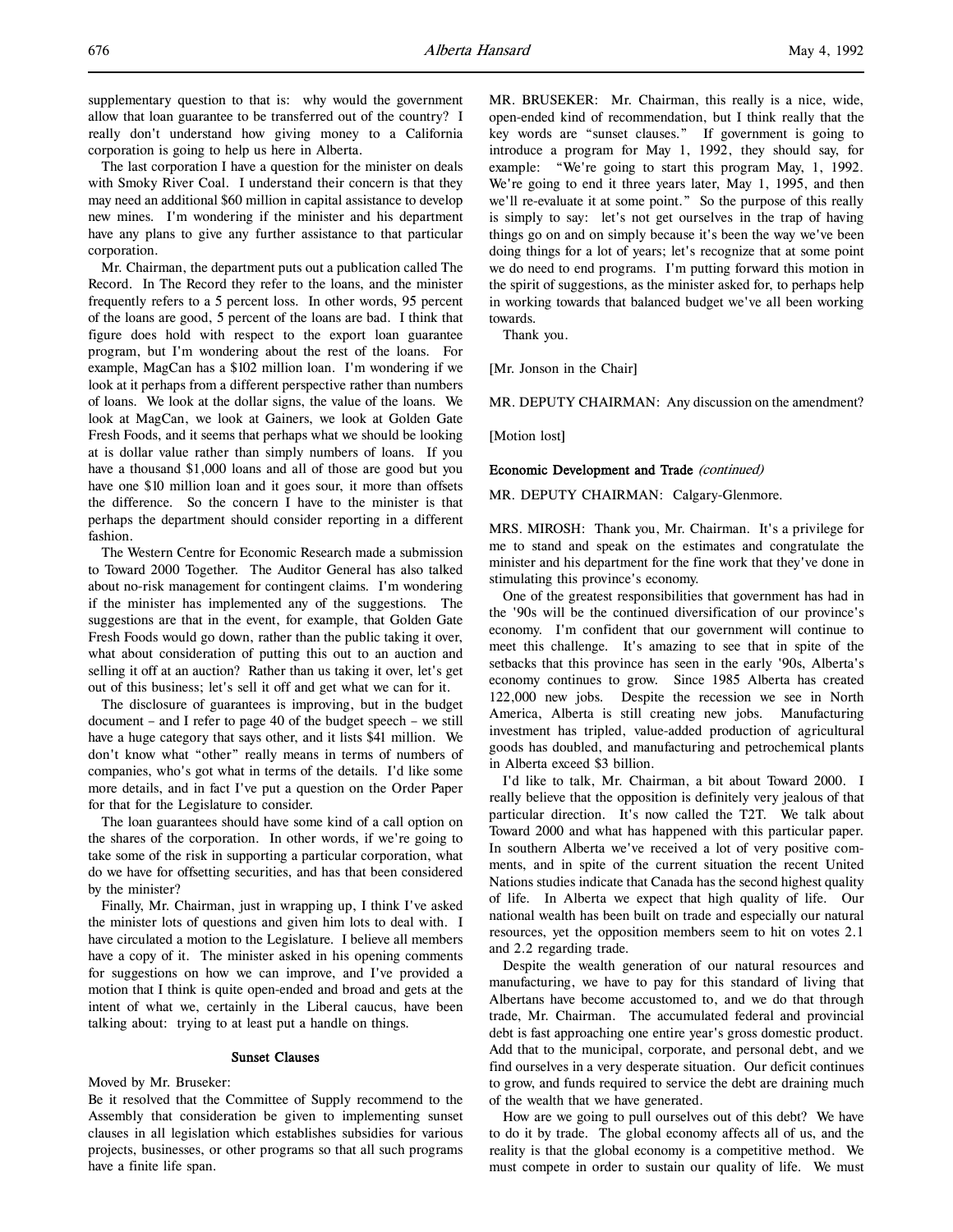supplementary question to that is: why would the government allow that loan guarantee to be transferred out of the country? I really don't understand how giving money to a California corporation is going to help us here in Alberta.

The last corporation I have a question for the minister on deals with Smoky River Coal. I understand their concern is that they may need an additional \$60 million in capital assistance to develop new mines. I'm wondering if the minister and his department have any plans to give any further assistance to that particular corporation.

Mr. Chairman, the department puts out a publication called The Record. In The Record they refer to the loans, and the minister frequently refers to a 5 percent loss. In other words, 95 percent of the loans are good, 5 percent of the loans are bad. I think that figure does hold with respect to the export loan guarantee program, but I'm wondering about the rest of the loans. For example, MagCan has a \$102 million loan. I'm wondering if we look at it perhaps from a different perspective rather than numbers of loans. We look at the dollar signs, the value of the loans. We look at MagCan, we look at Gainers, we look at Golden Gate Fresh Foods, and it seems that perhaps what we should be looking at is dollar value rather than simply numbers of loans. If you have a thousand \$1,000 loans and all of those are good but you have one \$10 million loan and it goes sour, it more than offsets the difference. So the concern I have to the minister is that perhaps the department should consider reporting in a different fashion.

The Western Centre for Economic Research made a submission to Toward 2000 Together. The Auditor General has also talked about no-risk management for contingent claims. I'm wondering if the minister has implemented any of the suggestions. The suggestions are that in the event, for example, that Golden Gate Fresh Foods would go down, rather than the public taking it over, what about consideration of putting this out to an auction and selling it off at an auction? Rather than us taking it over, let's get out of this business; let's sell it off and get what we can for it.

The disclosure of guarantees is improving, but in the budget document – and I refer to page 40 of the budget speech – we still have a huge category that says other, and it lists \$41 million. We don't know what "other" really means in terms of numbers of companies, who's got what in terms of the details. I'd like some more details, and in fact I've put a question on the Order Paper for that for the Legislature to consider.

The loan guarantees should have some kind of a call option on the shares of the corporation. In other words, if we're going to take some of the risk in supporting a particular corporation, what do we have for offsetting securities, and has that been considered by the minister?

Finally, Mr. Chairman, just in wrapping up, I think I've asked the minister lots of questions and given him lots to deal with. I have circulated a motion to the Legislature. I believe all members have a copy of it. The minister asked in his opening comments for suggestions on how we can improve, and I've provided a motion that I think is quite open-ended and broad and gets at the intent of what we, certainly in the Liberal caucus, have been talking about: trying to at least put a handle on things.

#### Sunset Clauses

#### Moved by Mr. Bruseker:

Be it resolved that the Committee of Supply recommend to the Assembly that consideration be given to implementing sunset clauses in all legislation which establishes subsidies for various projects, businesses, or other programs so that all such programs have a finite life span.

MR. BRUSEKER: Mr. Chairman, this really is a nice, wide, open-ended kind of recommendation, but I think really that the key words are "sunset clauses." If government is going to introduce a program for May 1, 1992, they should say, for example: "We're going to start this program May, 1, 1992. We're going to end it three years later, May 1, 1995, and then we'll re-evaluate it at some point." So the purpose of this really is simply to say: let's not get ourselves in the trap of having things go on and on simply because it's been the way we've been doing things for a lot of years; let's recognize that at some point we do need to end programs. I'm putting forward this motion in the spirit of suggestions, as the minister asked for, to perhaps help in working towards that balanced budget we've all been working towards.

Thank you.

[Mr. Jonson in the Chair]

MR. DEPUTY CHAIRMAN: Any discussion on the amendment?

#### [Motion lost]

## Economic Development and Trade (continued)

MR. DEPUTY CHAIRMAN: Calgary-Glenmore.

MRS. MIROSH: Thank you, Mr. Chairman. It's a privilege for me to stand and speak on the estimates and congratulate the minister and his department for the fine work that they've done in stimulating this province's economy.

One of the greatest responsibilities that government has had in the '90s will be the continued diversification of our province's economy. I'm confident that our government will continue to meet this challenge. It's amazing to see that in spite of the setbacks that this province has seen in the early '90s, Alberta's economy continues to grow. Since 1985 Alberta has created 122,000 new jobs. Despite the recession we see in North America, Alberta is still creating new jobs. Manufacturing investment has tripled, value-added production of agricultural goods has doubled, and manufacturing and petrochemical plants in Alberta exceed \$3 billion.

I'd like to talk, Mr. Chairman, a bit about Toward 2000. I really believe that the opposition is definitely very jealous of that particular direction. It's now called the T2T. We talk about Toward 2000 and what has happened with this particular paper. In southern Alberta we've received a lot of very positive comments, and in spite of the current situation the recent United Nations studies indicate that Canada has the second highest quality of life. In Alberta we expect that high quality of life. Our national wealth has been built on trade and especially our natural resources, yet the opposition members seem to hit on votes 2.1 and 2.2 regarding trade.

Despite the wealth generation of our natural resources and manufacturing, we have to pay for this standard of living that Albertans have become accustomed to, and we do that through trade, Mr. Chairman. The accumulated federal and provincial debt is fast approaching one entire year's gross domestic product. Add that to the municipal, corporate, and personal debt, and we find ourselves in a very desperate situation. Our deficit continues to grow, and funds required to service the debt are draining much of the wealth that we have generated.

How are we going to pull ourselves out of this debt? We have to do it by trade. The global economy affects all of us, and the reality is that the global economy is a competitive method. We must compete in order to sustain our quality of life. We must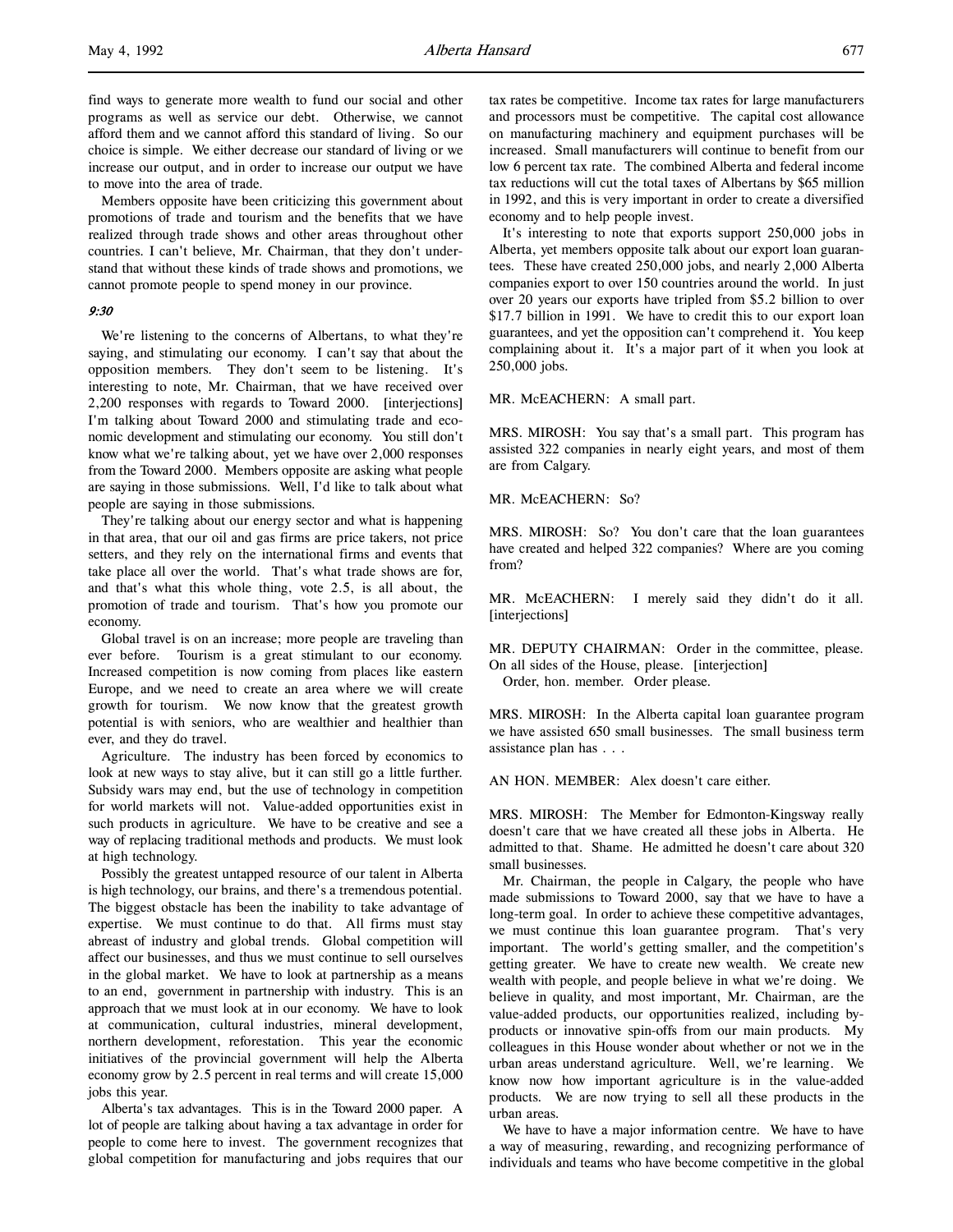find ways to generate more wealth to fund our social and other programs as well as service our debt. Otherwise, we cannot afford them and we cannot afford this standard of living. So our choice is simple. We either decrease our standard of living or we increase our output, and in order to increase our output we have to move into the area of trade.

Members opposite have been criticizing this government about promotions of trade and tourism and the benefits that we have realized through trade shows and other areas throughout other countries. I can't believe, Mr. Chairman, that they don't understand that without these kinds of trade shows and promotions, we cannot promote people to spend money in our province.

### 9:30

We're listening to the concerns of Albertans, to what they're saying, and stimulating our economy. I can't say that about the opposition members. They don't seem to be listening. It's interesting to note, Mr. Chairman, that we have received over 2,200 responses with regards to Toward 2000. [interjections] I'm talking about Toward 2000 and stimulating trade and economic development and stimulating our economy. You still don't know what we're talking about, yet we have over 2,000 responses from the Toward 2000. Members opposite are asking what people are saying in those submissions. Well, I'd like to talk about what people are saying in those submissions.

They're talking about our energy sector and what is happening in that area, that our oil and gas firms are price takers, not price setters, and they rely on the international firms and events that take place all over the world. That's what trade shows are for, and that's what this whole thing, vote 2.5, is all about, the promotion of trade and tourism. That's how you promote our economy.

Global travel is on an increase; more people are traveling than ever before. Tourism is a great stimulant to our economy. Increased competition is now coming from places like eastern Europe, and we need to create an area where we will create growth for tourism. We now know that the greatest growth potential is with seniors, who are wealthier and healthier than ever, and they do travel.

Agriculture. The industry has been forced by economics to look at new ways to stay alive, but it can still go a little further. Subsidy wars may end, but the use of technology in competition for world markets will not. Value-added opportunities exist in such products in agriculture. We have to be creative and see a way of replacing traditional methods and products. We must look at high technology.

Possibly the greatest untapped resource of our talent in Alberta is high technology, our brains, and there's a tremendous potential. The biggest obstacle has been the inability to take advantage of expertise. We must continue to do that. All firms must stay abreast of industry and global trends. Global competition will affect our businesses, and thus we must continue to sell ourselves in the global market. We have to look at partnership as a means to an end, government in partnership with industry. This is an approach that we must look at in our economy. We have to look at communication, cultural industries, mineral development, northern development, reforestation. This year the economic initiatives of the provincial government will help the Alberta economy grow by 2.5 percent in real terms and will create 15,000 jobs this year.

Alberta's tax advantages. This is in the Toward 2000 paper. A lot of people are talking about having a tax advantage in order for people to come here to invest. The government recognizes that global competition for manufacturing and jobs requires that our tax rates be competitive. Income tax rates for large manufacturers and processors must be competitive. The capital cost allowance on manufacturing machinery and equipment purchases will be increased. Small manufacturers will continue to benefit from our low 6 percent tax rate. The combined Alberta and federal income tax reductions will cut the total taxes of Albertans by \$65 million in 1992, and this is very important in order to create a diversified economy and to help people invest.

It's interesting to note that exports support 250,000 jobs in Alberta, yet members opposite talk about our export loan guarantees. These have created 250,000 jobs, and nearly 2,000 Alberta companies export to over 150 countries around the world. In just over 20 years our exports have tripled from \$5.2 billion to over \$17.7 billion in 1991. We have to credit this to our export loan guarantees, and yet the opposition can't comprehend it. You keep complaining about it. It's a major part of it when you look at 250,000 jobs.

MR. McEACHERN: A small part.

MRS. MIROSH: You say that's a small part. This program has assisted 322 companies in nearly eight years, and most of them are from Calgary.

MR. McEACHERN: So?

MRS. MIROSH: So? You don't care that the loan guarantees have created and helped 322 companies? Where are you coming from?

MR. McEACHERN: I merely said they didn't do it all. [interjections]

MR. DEPUTY CHAIRMAN: Order in the committee, please. On all sides of the House, please. [interjection] Order, hon. member. Order please.

MRS. MIROSH: In the Alberta capital loan guarantee program we have assisted 650 small businesses. The small business term assistance plan has . . .

AN HON. MEMBER: Alex doesn't care either.

MRS. MIROSH: The Member for Edmonton-Kingsway really doesn't care that we have created all these jobs in Alberta. He admitted to that. Shame. He admitted he doesn't care about 320 small businesses.

Mr. Chairman, the people in Calgary, the people who have made submissions to Toward 2000, say that we have to have a long-term goal. In order to achieve these competitive advantages, we must continue this loan guarantee program. That's very important. The world's getting smaller, and the competition's getting greater. We have to create new wealth. We create new wealth with people, and people believe in what we're doing. We believe in quality, and most important, Mr. Chairman, are the value-added products, our opportunities realized, including byproducts or innovative spin-offs from our main products. My colleagues in this House wonder about whether or not we in the urban areas understand agriculture. Well, we're learning. We know now how important agriculture is in the value-added products. We are now trying to sell all these products in the urban areas.

We have to have a major information centre. We have to have a way of measuring, rewarding, and recognizing performance of individuals and teams who have become competitive in the global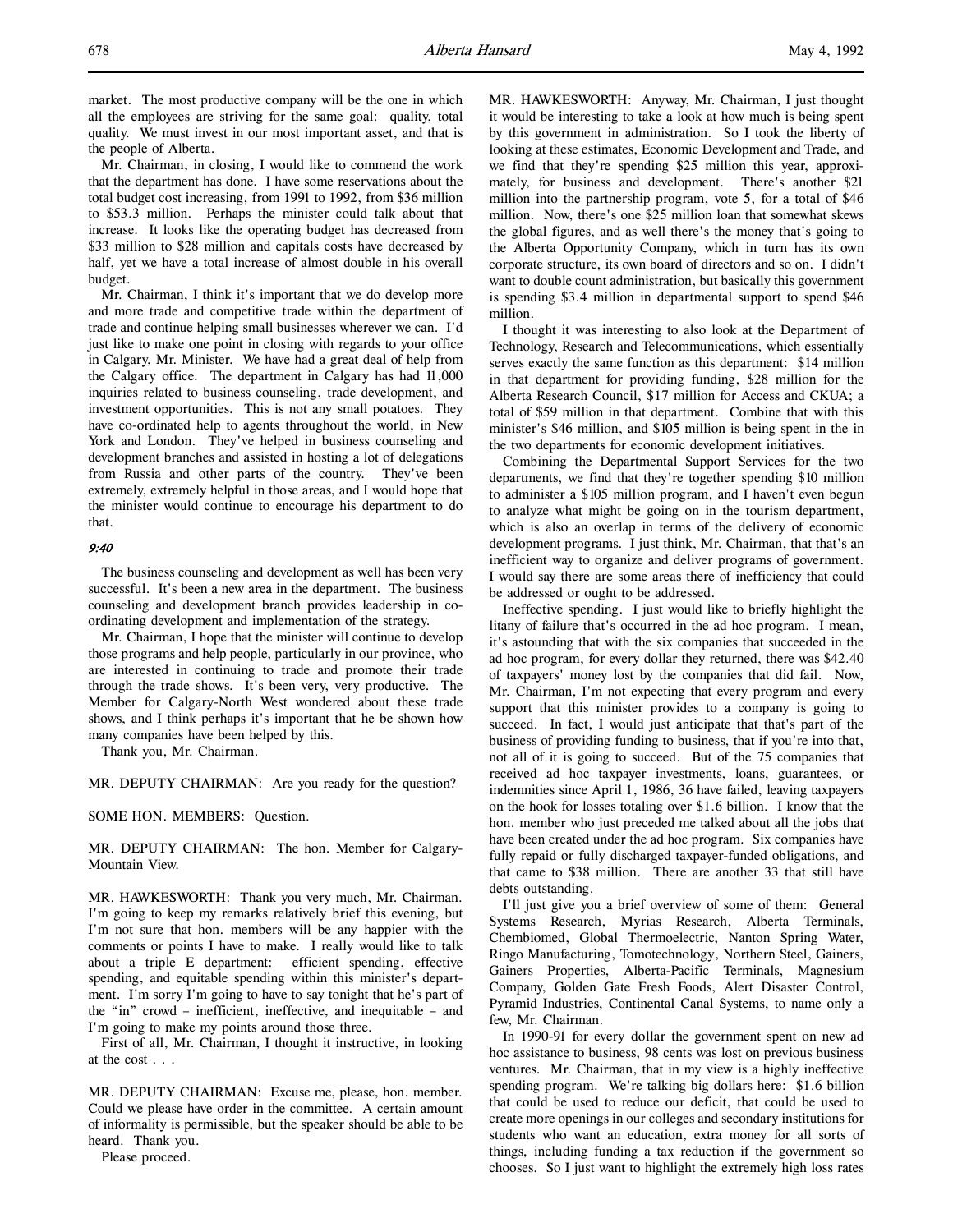market. The most productive company will be the one in which all the employees are striving for the same goal: quality, total quality. We must invest in our most important asset, and that is the people of Alberta.

Mr. Chairman, in closing, I would like to commend the work that the department has done. I have some reservations about the total budget cost increasing, from 1991 to 1992, from \$36 million to \$53.3 million. Perhaps the minister could talk about that increase. It looks like the operating budget has decreased from \$33 million to \$28 million and capitals costs have decreased by half, yet we have a total increase of almost double in his overall budget.

Mr. Chairman, I think it's important that we do develop more and more trade and competitive trade within the department of trade and continue helping small businesses wherever we can. I'd just like to make one point in closing with regards to your office in Calgary, Mr. Minister. We have had a great deal of help from the Calgary office. The department in Calgary has had 11,000 inquiries related to business counseling, trade development, and investment opportunities. This is not any small potatoes. They have co-ordinated help to agents throughout the world, in New York and London. They've helped in business counseling and development branches and assisted in hosting a lot of delegations from Russia and other parts of the country. They've been extremely, extremely helpful in those areas, and I would hope that the minister would continue to encourage his department to do that.

## 9:40

The business counseling and development as well has been very successful. It's been a new area in the department. The business counseling and development branch provides leadership in coordinating development and implementation of the strategy.

Mr. Chairman, I hope that the minister will continue to develop those programs and help people, particularly in our province, who are interested in continuing to trade and promote their trade through the trade shows. It's been very, very productive. The Member for Calgary-North West wondered about these trade shows, and I think perhaps it's important that he be shown how many companies have been helped by this.

Thank you, Mr. Chairman.

MR. DEPUTY CHAIRMAN: Are you ready for the question?

SOME HON. MEMBERS: Question.

MR. DEPUTY CHAIRMAN: The hon. Member for Calgary-Mountain View.

MR. HAWKESWORTH: Thank you very much, Mr. Chairman. I'm going to keep my remarks relatively brief this evening, but I'm not sure that hon. members will be any happier with the comments or points I have to make. I really would like to talk about a triple E department: efficient spending, effective spending, and equitable spending within this minister's department. I'm sorry I'm going to have to say tonight that he's part of the "in" crowd – inefficient, ineffective, and inequitable – and I'm going to make my points around those three.

First of all, Mr. Chairman, I thought it instructive, in looking at the cost . . .

MR. DEPUTY CHAIRMAN: Excuse me, please, hon. member. Could we please have order in the committee. A certain amount of informality is permissible, but the speaker should be able to be heard. Thank you.

Please proceed.

MR. HAWKESWORTH: Anyway, Mr. Chairman, I just thought it would be interesting to take a look at how much is being spent by this government in administration. So I took the liberty of looking at these estimates, Economic Development and Trade, and we find that they're spending \$25 million this year, approximately, for business and development. There's another \$21 million into the partnership program, vote 5, for a total of \$46 million. Now, there's one \$25 million loan that somewhat skews the global figures, and as well there's the money that's going to the Alberta Opportunity Company, which in turn has its own corporate structure, its own board of directors and so on. I didn't want to double count administration, but basically this government is spending \$3.4 million in departmental support to spend \$46 million.

I thought it was interesting to also look at the Department of Technology, Research and Telecommunications, which essentially serves exactly the same function as this department: \$14 million in that department for providing funding, \$28 million for the Alberta Research Council, \$17 million for Access and CKUA; a total of \$59 million in that department. Combine that with this minister's \$46 million, and \$105 million is being spent in the in the two departments for economic development initiatives.

Combining the Departmental Support Services for the two departments, we find that they're together spending \$10 million to administer a \$105 million program, and I haven't even begun to analyze what might be going on in the tourism department, which is also an overlap in terms of the delivery of economic development programs. I just think, Mr. Chairman, that that's an inefficient way to organize and deliver programs of government. I would say there are some areas there of inefficiency that could be addressed or ought to be addressed.

Ineffective spending. I just would like to briefly highlight the litany of failure that's occurred in the ad hoc program. I mean, it's astounding that with the six companies that succeeded in the ad hoc program, for every dollar they returned, there was \$42.40 of taxpayers' money lost by the companies that did fail. Now, Mr. Chairman, I'm not expecting that every program and every support that this minister provides to a company is going to succeed. In fact, I would just anticipate that that's part of the business of providing funding to business, that if you're into that, not all of it is going to succeed. But of the 75 companies that received ad hoc taxpayer investments, loans, guarantees, or indemnities since April 1, 1986, 36 have failed, leaving taxpayers on the hook for losses totaling over \$1.6 billion. I know that the hon. member who just preceded me talked about all the jobs that have been created under the ad hoc program. Six companies have fully repaid or fully discharged taxpayer-funded obligations, and that came to \$38 million. There are another 33 that still have debts outstanding.

I'll just give you a brief overview of some of them: General Systems Research, Myrias Research, Alberta Terminals, Chembiomed, Global Thermoelectric, Nanton Spring Water, Ringo Manufacturing, Tomotechnology, Northern Steel, Gainers, Gainers Properties, Alberta-Pacific Terminals, Magnesium Company, Golden Gate Fresh Foods, Alert Disaster Control, Pyramid Industries, Continental Canal Systems, to name only a few, Mr. Chairman.

In 1990-91 for every dollar the government spent on new ad hoc assistance to business, 98 cents was lost on previous business ventures. Mr. Chairman, that in my view is a highly ineffective spending program. We're talking big dollars here: \$1.6 billion that could be used to reduce our deficit, that could be used to create more openings in our colleges and secondary institutions for students who want an education, extra money for all sorts of things, including funding a tax reduction if the government so chooses. So I just want to highlight the extremely high loss rates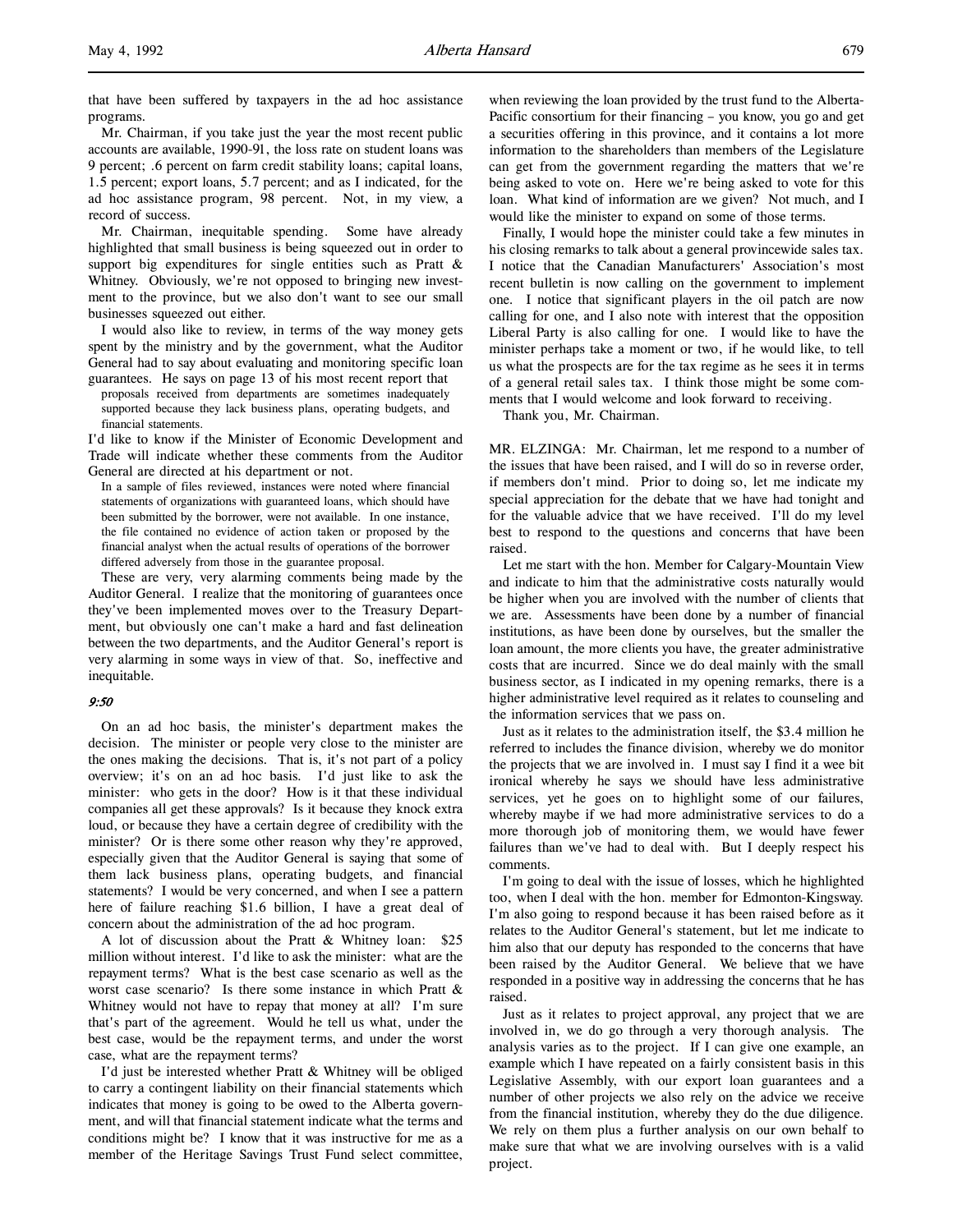that have been suffered by taxpayers in the ad hoc assistance programs.

Mr. Chairman, if you take just the year the most recent public accounts are available, 1990-91, the loss rate on student loans was 9 percent; .6 percent on farm credit stability loans; capital loans, 1.5 percent; export loans, 5.7 percent; and as I indicated, for the ad hoc assistance program, 98 percent. Not, in my view, a record of success.

Mr. Chairman, inequitable spending. Some have already highlighted that small business is being squeezed out in order to support big expenditures for single entities such as Pratt & Whitney. Obviously, we're not opposed to bringing new investment to the province, but we also don't want to see our small businesses squeezed out either.

I would also like to review, in terms of the way money gets spent by the ministry and by the government, what the Auditor General had to say about evaluating and monitoring specific loan guarantees. He says on page 13 of his most recent report that

proposals received from departments are sometimes inadequately supported because they lack business plans, operating budgets, and financial statements.

I'd like to know if the Minister of Economic Development and Trade will indicate whether these comments from the Auditor General are directed at his department or not.

In a sample of files reviewed, instances were noted where financial statements of organizations with guaranteed loans, which should have been submitted by the borrower, were not available. In one instance, the file contained no evidence of action taken or proposed by the financial analyst when the actual results of operations of the borrower differed adversely from those in the guarantee proposal.

These are very, very alarming comments being made by the Auditor General. I realize that the monitoring of guarantees once they've been implemented moves over to the Treasury Department, but obviously one can't make a hard and fast delineation between the two departments, and the Auditor General's report is very alarming in some ways in view of that. So, ineffective and inequitable.

#### 9:50

On an ad hoc basis, the minister's department makes the decision. The minister or people very close to the minister are the ones making the decisions. That is, it's not part of a policy overview; it's on an ad hoc basis. I'd just like to ask the minister: who gets in the door? How is it that these individual companies all get these approvals? Is it because they knock extra loud, or because they have a certain degree of credibility with the minister? Or is there some other reason why they're approved, especially given that the Auditor General is saying that some of them lack business plans, operating budgets, and financial statements? I would be very concerned, and when I see a pattern here of failure reaching \$1.6 billion, I have a great deal of concern about the administration of the ad hoc program.

A lot of discussion about the Pratt & Whitney loan: \$25 million without interest. I'd like to ask the minister: what are the repayment terms? What is the best case scenario as well as the worst case scenario? Is there some instance in which Pratt & Whitney would not have to repay that money at all? I'm sure that's part of the agreement. Would he tell us what, under the best case, would be the repayment terms, and under the worst case, what are the repayment terms?

I'd just be interested whether Pratt & Whitney will be obliged to carry a contingent liability on their financial statements which indicates that money is going to be owed to the Alberta government, and will that financial statement indicate what the terms and conditions might be? I know that it was instructive for me as a member of the Heritage Savings Trust Fund select committee,

when reviewing the loan provided by the trust fund to the Alberta-Pacific consortium for their financing – you know, you go and get a securities offering in this province, and it contains a lot more information to the shareholders than members of the Legislature can get from the government regarding the matters that we're being asked to vote on. Here we're being asked to vote for this loan. What kind of information are we given? Not much, and I would like the minister to expand on some of those terms.

Finally, I would hope the minister could take a few minutes in his closing remarks to talk about a general provincewide sales tax. I notice that the Canadian Manufacturers' Association's most recent bulletin is now calling on the government to implement one. I notice that significant players in the oil patch are now calling for one, and I also note with interest that the opposition Liberal Party is also calling for one. I would like to have the minister perhaps take a moment or two, if he would like, to tell us what the prospects are for the tax regime as he sees it in terms of a general retail sales tax. I think those might be some comments that I would welcome and look forward to receiving.

Thank you, Mr. Chairman.

MR. ELZINGA: Mr. Chairman, let me respond to a number of the issues that have been raised, and I will do so in reverse order, if members don't mind. Prior to doing so, let me indicate my special appreciation for the debate that we have had tonight and for the valuable advice that we have received. I'll do my level best to respond to the questions and concerns that have been raised.

Let me start with the hon. Member for Calgary-Mountain View and indicate to him that the administrative costs naturally would be higher when you are involved with the number of clients that we are. Assessments have been done by a number of financial institutions, as have been done by ourselves, but the smaller the loan amount, the more clients you have, the greater administrative costs that are incurred. Since we do deal mainly with the small business sector, as I indicated in my opening remarks, there is a higher administrative level required as it relates to counseling and the information services that we pass on.

Just as it relates to the administration itself, the \$3.4 million he referred to includes the finance division, whereby we do monitor the projects that we are involved in. I must say I find it a wee bit ironical whereby he says we should have less administrative services, yet he goes on to highlight some of our failures, whereby maybe if we had more administrative services to do a more thorough job of monitoring them, we would have fewer failures than we've had to deal with. But I deeply respect his comments.

I'm going to deal with the issue of losses, which he highlighted too, when I deal with the hon. member for Edmonton-Kingsway. I'm also going to respond because it has been raised before as it relates to the Auditor General's statement, but let me indicate to him also that our deputy has responded to the concerns that have been raised by the Auditor General. We believe that we have responded in a positive way in addressing the concerns that he has raised.

Just as it relates to project approval, any project that we are involved in, we do go through a very thorough analysis. The analysis varies as to the project. If I can give one example, an example which I have repeated on a fairly consistent basis in this Legislative Assembly, with our export loan guarantees and a number of other projects we also rely on the advice we receive from the financial institution, whereby they do the due diligence. We rely on them plus a further analysis on our own behalf to make sure that what we are involving ourselves with is a valid project.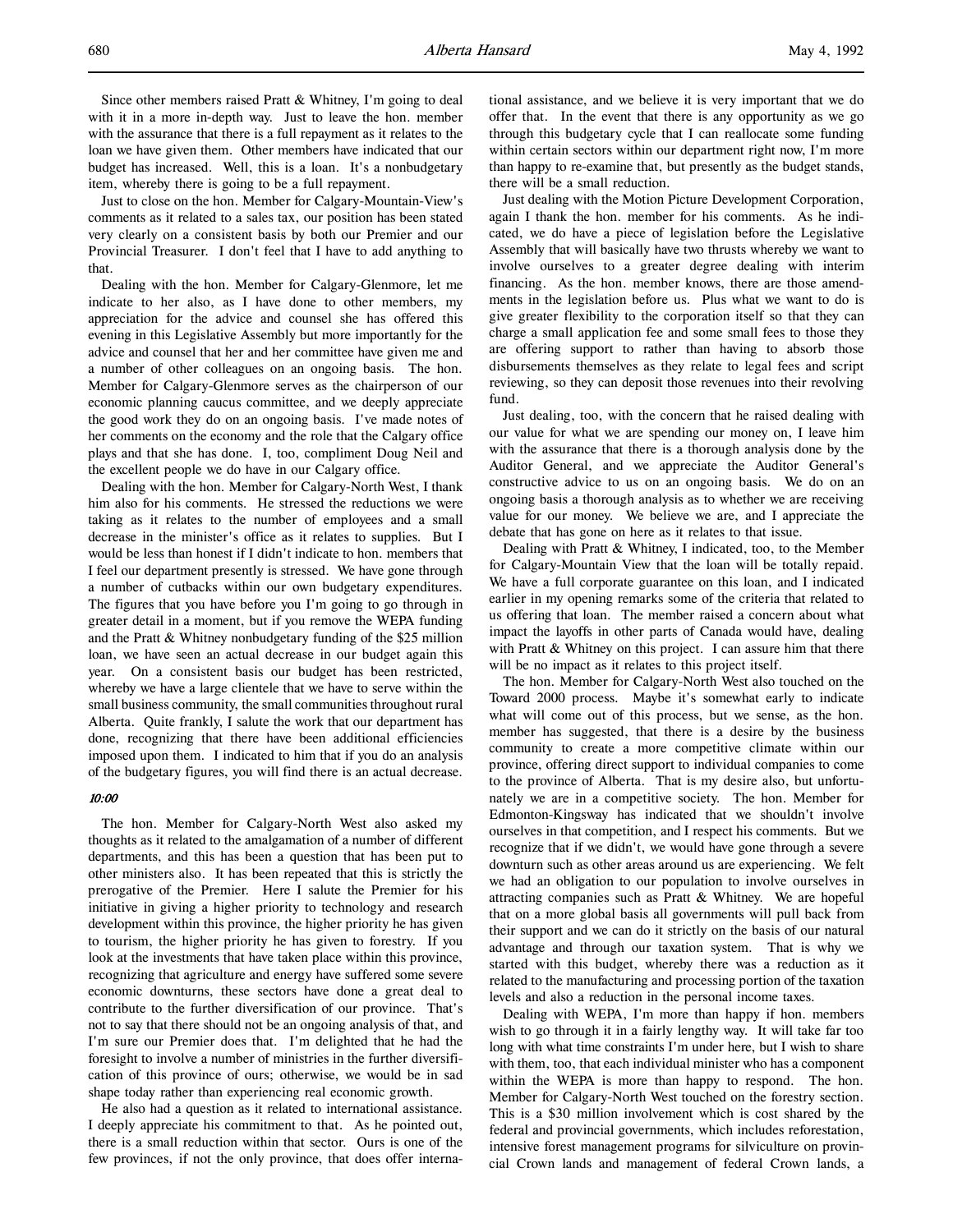Since other members raised Pratt & Whitney, I'm going to deal with it in a more in-depth way. Just to leave the hon. member with the assurance that there is a full repayment as it relates to the loan we have given them. Other members have indicated that our budget has increased. Well, this is a loan. It's a nonbudgetary item, whereby there is going to be a full repayment.

Just to close on the hon. Member for Calgary-Mountain-View's comments as it related to a sales tax, our position has been stated very clearly on a consistent basis by both our Premier and our Provincial Treasurer. I don't feel that I have to add anything to that.

Dealing with the hon. Member for Calgary-Glenmore, let me indicate to her also, as I have done to other members, my appreciation for the advice and counsel she has offered this evening in this Legislative Assembly but more importantly for the advice and counsel that her and her committee have given me and a number of other colleagues on an ongoing basis. The hon. Member for Calgary-Glenmore serves as the chairperson of our economic planning caucus committee, and we deeply appreciate the good work they do on an ongoing basis. I've made notes of her comments on the economy and the role that the Calgary office plays and that she has done. I, too, compliment Doug Neil and the excellent people we do have in our Calgary office.

Dealing with the hon. Member for Calgary-North West, I thank him also for his comments. He stressed the reductions we were taking as it relates to the number of employees and a small decrease in the minister's office as it relates to supplies. But I would be less than honest if I didn't indicate to hon. members that I feel our department presently is stressed. We have gone through a number of cutbacks within our own budgetary expenditures. The figures that you have before you I'm going to go through in greater detail in a moment, but if you remove the WEPA funding and the Pratt & Whitney nonbudgetary funding of the \$25 million loan, we have seen an actual decrease in our budget again this year. On a consistent basis our budget has been restricted, whereby we have a large clientele that we have to serve within the small business community, the small communities throughout rural Alberta. Quite frankly, I salute the work that our department has done, recognizing that there have been additional efficiencies imposed upon them. I indicated to him that if you do an analysis of the budgetary figures, you will find there is an actual decrease.

# 10:00

The hon. Member for Calgary-North West also asked my thoughts as it related to the amalgamation of a number of different departments, and this has been a question that has been put to other ministers also. It has been repeated that this is strictly the prerogative of the Premier. Here I salute the Premier for his initiative in giving a higher priority to technology and research development within this province, the higher priority he has given to tourism, the higher priority he has given to forestry. If you look at the investments that have taken place within this province, recognizing that agriculture and energy have suffered some severe economic downturns, these sectors have done a great deal to contribute to the further diversification of our province. That's not to say that there should not be an ongoing analysis of that, and I'm sure our Premier does that. I'm delighted that he had the foresight to involve a number of ministries in the further diversification of this province of ours; otherwise, we would be in sad shape today rather than experiencing real economic growth.

He also had a question as it related to international assistance. I deeply appreciate his commitment to that. As he pointed out, there is a small reduction within that sector. Ours is one of the few provinces, if not the only province, that does offer international assistance, and we believe it is very important that we do offer that. In the event that there is any opportunity as we go through this budgetary cycle that I can reallocate some funding within certain sectors within our department right now, I'm more than happy to re-examine that, but presently as the budget stands, there will be a small reduction.

Just dealing with the Motion Picture Development Corporation, again I thank the hon. member for his comments. As he indicated, we do have a piece of legislation before the Legislative Assembly that will basically have two thrusts whereby we want to involve ourselves to a greater degree dealing with interim financing. As the hon. member knows, there are those amendments in the legislation before us. Plus what we want to do is give greater flexibility to the corporation itself so that they can charge a small application fee and some small fees to those they are offering support to rather than having to absorb those disbursements themselves as they relate to legal fees and script reviewing, so they can deposit those revenues into their revolving fund.

Just dealing, too, with the concern that he raised dealing with our value for what we are spending our money on, I leave him with the assurance that there is a thorough analysis done by the Auditor General, and we appreciate the Auditor General's constructive advice to us on an ongoing basis. We do on an ongoing basis a thorough analysis as to whether we are receiving value for our money. We believe we are, and I appreciate the debate that has gone on here as it relates to that issue.

Dealing with Pratt & Whitney, I indicated, too, to the Member for Calgary-Mountain View that the loan will be totally repaid. We have a full corporate guarantee on this loan, and I indicated earlier in my opening remarks some of the criteria that related to us offering that loan. The member raised a concern about what impact the layoffs in other parts of Canada would have, dealing with Pratt & Whitney on this project. I can assure him that there will be no impact as it relates to this project itself.

The hon. Member for Calgary-North West also touched on the Toward 2000 process. Maybe it's somewhat early to indicate what will come out of this process, but we sense, as the hon. member has suggested, that there is a desire by the business community to create a more competitive climate within our province, offering direct support to individual companies to come to the province of Alberta. That is my desire also, but unfortunately we are in a competitive society. The hon. Member for Edmonton-Kingsway has indicated that we shouldn't involve ourselves in that competition, and I respect his comments. But we recognize that if we didn't, we would have gone through a severe downturn such as other areas around us are experiencing. We felt we had an obligation to our population to involve ourselves in attracting companies such as Pratt & Whitney. We are hopeful that on a more global basis all governments will pull back from their support and we can do it strictly on the basis of our natural advantage and through our taxation system. That is why we started with this budget, whereby there was a reduction as it related to the manufacturing and processing portion of the taxation levels and also a reduction in the personal income taxes.

Dealing with WEPA, I'm more than happy if hon. members wish to go through it in a fairly lengthy way. It will take far too long with what time constraints I'm under here, but I wish to share with them, too, that each individual minister who has a component within the WEPA is more than happy to respond. The hon. Member for Calgary-North West touched on the forestry section. This is a \$30 million involvement which is cost shared by the federal and provincial governments, which includes reforestation, intensive forest management programs for silviculture on provincial Crown lands and management of federal Crown lands, a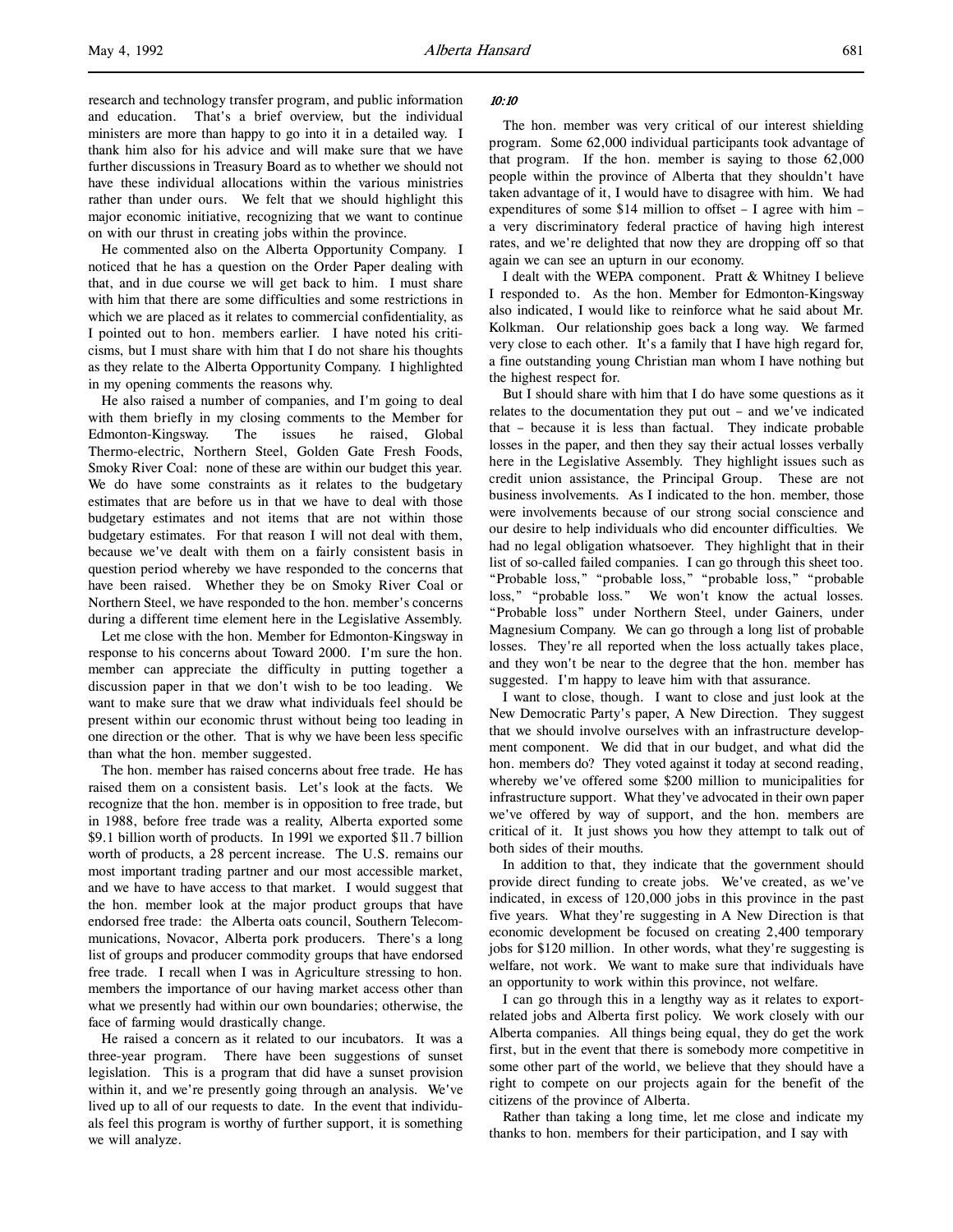research and technology transfer program, and public information and education. That's a brief overview, but the individual ministers are more than happy to go into it in a detailed way. I thank him also for his advice and will make sure that we have further discussions in Treasury Board as to whether we should not have these individual allocations within the various ministries rather than under ours. We felt that we should highlight this major economic initiative, recognizing that we want to continue on with our thrust in creating jobs within the province.

He commented also on the Alberta Opportunity Company. I noticed that he has a question on the Order Paper dealing with that, and in due course we will get back to him. I must share with him that there are some difficulties and some restrictions in which we are placed as it relates to commercial confidentiality, as I pointed out to hon. members earlier. I have noted his criticisms, but I must share with him that I do not share his thoughts as they relate to the Alberta Opportunity Company. I highlighted in my opening comments the reasons why.

He also raised a number of companies, and I'm going to deal with them briefly in my closing comments to the Member for Edmonton-Kingsway. The issues he raised, Global Thermo-electric, Northern Steel, Golden Gate Fresh Foods, Smoky River Coal: none of these are within our budget this year. We do have some constraints as it relates to the budgetary estimates that are before us in that we have to deal with those budgetary estimates and not items that are not within those budgetary estimates. For that reason I will not deal with them, because we've dealt with them on a fairly consistent basis in question period whereby we have responded to the concerns that have been raised. Whether they be on Smoky River Coal or Northern Steel, we have responded to the hon. member's concerns during a different time element here in the Legislative Assembly.

Let me close with the hon. Member for Edmonton-Kingsway in response to his concerns about Toward 2000. I'm sure the hon. member can appreciate the difficulty in putting together a discussion paper in that we don't wish to be too leading. We want to make sure that we draw what individuals feel should be present within our economic thrust without being too leading in one direction or the other. That is why we have been less specific than what the hon. member suggested.

The hon. member has raised concerns about free trade. He has raised them on a consistent basis. Let's look at the facts. We recognize that the hon. member is in opposition to free trade, but in 1988, before free trade was a reality, Alberta exported some \$9.1 billion worth of products. In 1991 we exported \$11.7 billion worth of products, a 28 percent increase. The U.S. remains our most important trading partner and our most accessible market, and we have to have access to that market. I would suggest that the hon. member look at the major product groups that have endorsed free trade: the Alberta oats council, Southern Telecommunications, Novacor, Alberta pork producers. There's a long list of groups and producer commodity groups that have endorsed free trade. I recall when I was in Agriculture stressing to hon. members the importance of our having market access other than what we presently had within our own boundaries; otherwise, the face of farming would drastically change.

He raised a concern as it related to our incubators. It was a three-year program. There have been suggestions of sunset legislation. This is a program that did have a sunset provision within it, and we're presently going through an analysis. We've lived up to all of our requests to date. In the event that individuals feel this program is worthy of further support, it is something we will analyze.

## 10:10

The hon. member was very critical of our interest shielding program. Some 62,000 individual participants took advantage of that program. If the hon. member is saying to those 62,000 people within the province of Alberta that they shouldn't have taken advantage of it, I would have to disagree with him. We had expenditures of some \$14 million to offset – I agree with him – a very discriminatory federal practice of having high interest rates, and we're delighted that now they are dropping off so that again we can see an upturn in our economy.

I dealt with the WEPA component. Pratt & Whitney I believe I responded to. As the hon. Member for Edmonton-Kingsway also indicated, I would like to reinforce what he said about Mr. Kolkman. Our relationship goes back a long way. We farmed very close to each other. It's a family that I have high regard for, a fine outstanding young Christian man whom I have nothing but the highest respect for.

But I should share with him that I do have some questions as it relates to the documentation they put out – and we've indicated that – because it is less than factual. They indicate probable losses in the paper, and then they say their actual losses verbally here in the Legislative Assembly. They highlight issues such as credit union assistance, the Principal Group. These are not business involvements. As I indicated to the hon. member, those were involvements because of our strong social conscience and our desire to help individuals who did encounter difficulties. We had no legal obligation whatsoever. They highlight that in their list of so-called failed companies. I can go through this sheet too. "Probable loss," "probable loss," "probable loss," "probable loss," "probable loss." We won't know the actual losses. "Probable loss" under Northern Steel, under Gainers, under Magnesium Company. We can go through a long list of probable losses. They're all reported when the loss actually takes place, and they won't be near to the degree that the hon. member has suggested. I'm happy to leave him with that assurance.

I want to close, though. I want to close and just look at the New Democratic Party's paper, A New Direction. They suggest that we should involve ourselves with an infrastructure development component. We did that in our budget, and what did the hon. members do? They voted against it today at second reading, whereby we've offered some \$200 million to municipalities for infrastructure support. What they've advocated in their own paper we've offered by way of support, and the hon. members are critical of it. It just shows you how they attempt to talk out of both sides of their mouths.

In addition to that, they indicate that the government should provide direct funding to create jobs. We've created, as we've indicated, in excess of 120,000 jobs in this province in the past five years. What they're suggesting in A New Direction is that economic development be focused on creating 2,400 temporary jobs for \$120 million. In other words, what they're suggesting is welfare, not work. We want to make sure that individuals have an opportunity to work within this province, not welfare.

I can go through this in a lengthy way as it relates to exportrelated jobs and Alberta first policy. We work closely with our Alberta companies. All things being equal, they do get the work first, but in the event that there is somebody more competitive in some other part of the world, we believe that they should have a right to compete on our projects again for the benefit of the citizens of the province of Alberta.

Rather than taking a long time, let me close and indicate my thanks to hon. members for their participation, and I say with